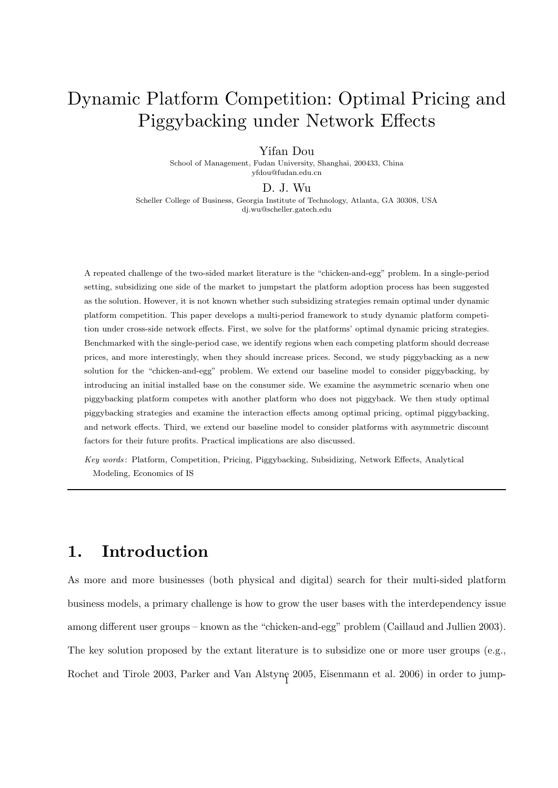# Dynamic Platform Competition: Optimal Pricing and Piggybacking under Network Effects

Yifan Dou

School of Management, Fudan University, Shanghai, 200433, China yfdou@fudan.edu.cn

#### D. J. Wu

Scheller College of Business, Georgia Institute of Technology, Atlanta, GA 30308, USA dj.wu@scheller.gatech.edu

A repeated challenge of the two-sided market literature is the "chicken-and-egg" problem. In a single-period setting, subsidizing one side of the market to jumpstart the platform adoption process has been suggested as the solution. However, it is not known whether such subsidizing strategies remain optimal under dynamic platform competition. This paper develops a multi-period framework to study dynamic platform competition under cross-side network effects. First, we solve for the platforms' optimal dynamic pricing strategies. Benchmarked with the single-period case, we identify regions when each competing platform should decrease prices, and more interestingly, when they should increase prices. Second, we study piggybacking as a new solution for the "chicken-and-egg" problem. We extend our baseline model to consider piggybacking, by introducing an initial installed base on the consumer side. We examine the asymmetric scenario when one piggybacking platform competes with another platform who does not piggyback. We then study optimal piggybacking strategies and examine the interaction effects among optimal pricing, optimal piggybacking, and network effects. Third, we extend our baseline model to consider platforms with asymmetric discount factors for their future profits. Practical implications are also discussed.

Key words : Platform, Competition, Pricing, Piggybacking, Subsidizing, Network Effects, Analytical Modeling, Economics of IS

### 1. Introduction

As more and more businesses (both physical and digital) search for their multi-sided platform business models, a primary challenge is how to grow the user bases with the interdependency issue among different user groups – known as the "chicken-and-egg" problem (Caillaud and Jullien 2003). The key solution proposed by the extant literature is to subsidize one or more user groups (e.g., Rochet and Tirole 2003, Parker and Van Alstyne 2005, Eisenmann et al. 2006) in order to jump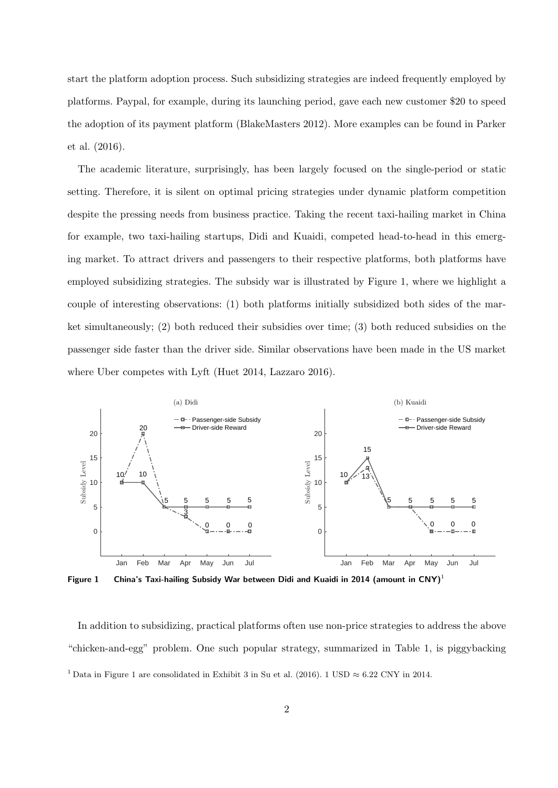start the platform adoption process. Such subsidizing strategies are indeed frequently employed by platforms. Paypal, for example, during its launching period, gave each new customer \$20 to speed the adoption of its payment platform (BlakeMasters 2012). More examples can be found in Parker et al. (2016).

The academic literature, surprisingly, has been largely focused on the single-period or static setting. Therefore, it is silent on optimal pricing strategies under dynamic platform competition despite the pressing needs from business practice. Taking the recent taxi-hailing market in China for example, two taxi-hailing startups, Didi and Kuaidi, competed head-to-head in this emerging market. To attract drivers and passengers to their respective platforms, both platforms have employed subsidizing strategies. The subsidy war is illustrated by Figure 1, where we highlight a couple of interesting observations: (1) both platforms initially subsidized both sides of the market simultaneously; (2) both reduced their subsidies over time; (3) both reduced subsidies on the passenger side faster than the driver side. Similar observations have been made in the US market where Uber competes with Lyft (Huet 2014, Lazzaro 2016).



Figure 1 China's Taxi-hailing Subsidy War between Didi and Kuaidi in 2014 (amount in CNY)<sup>1</sup>

In addition to subsidizing, practical platforms often use non-price strategies to address the above "chicken-and-egg" problem. One such popular strategy, summarized in Table 1, is piggybacking <sup>1</sup> Data in Figure 1 are consolidated in Exhibit 3 in Su et al. (2016). 1 USD  $\approx 6.22$  CNY in 2014.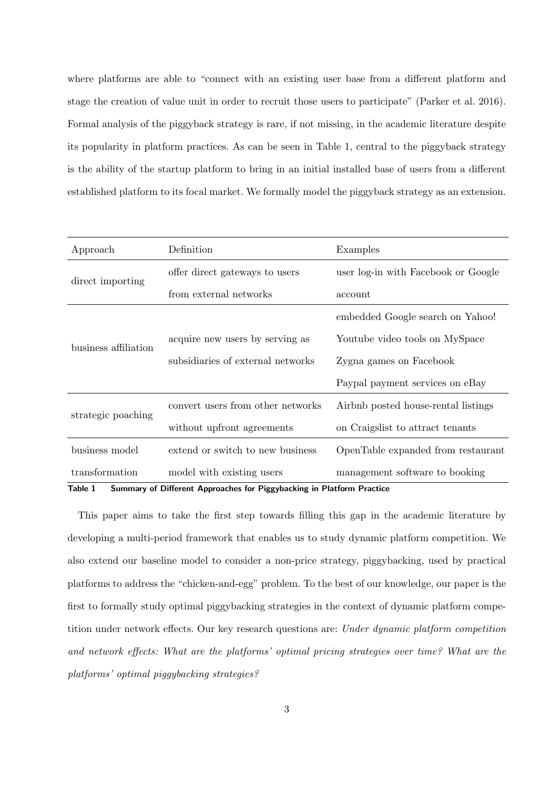where platforms are able to "connect with an existing user base from a different platform and stage the creation of value unit in order to recruit those users to participate" (Parker et al. 2016). Formal analysis of the piggyback strategy is rare, if not missing, in the academic literature despite its popularity in platform practices. As can be seen in Table 1, central to the piggyback strategy is the ability of the startup platform to bring in an initial installed base of users from a different established platform to its focal market. We formally model the piggyback strategy as an extension.

| Approach             | Definition                                                                                                 | Examples                            |  |
|----------------------|------------------------------------------------------------------------------------------------------------|-------------------------------------|--|
| direct importing     | offer direct gateways to users                                                                             | user log-in with Facebook or Google |  |
|                      | from external networks                                                                                     | account                             |  |
|                      |                                                                                                            | embedded Google search on Yahoo!    |  |
| business affiliation | acquire new users by serving as                                                                            | Youtube video tools on MySpace      |  |
|                      | subsidiaries of external networks                                                                          | Zygna games on Facebook             |  |
|                      |                                                                                                            | Paypal payment services on eBay     |  |
| strategic poaching   | convert users from other networks                                                                          | Airbnb posted house-rental listings |  |
|                      | without upfront agreements                                                                                 | on Craigslist to attract tenants    |  |
| business model       | extend or switch to new business                                                                           | OpenTable expanded from restaurant  |  |
| transformation       | model with existing users<br>Table 1 Cummany of Different Annycoches for Discusseding in Platform Practice | management software to booking      |  |

Table 1 Summary of Different Approaches for Piggybacking in Platform Practice

This paper aims to take the first step towards filling this gap in the academic literature by developing a multi-period framework that enables us to study dynamic platform competition. We also extend our baseline model to consider a non-price strategy, piggybacking, used by practical platforms to address the "chicken-and-egg" problem. To the best of our knowledge, our paper is the first to formally study optimal piggybacking strategies in the context of dynamic platform competition under network effects. Our key research questions are: Under dynamic platform competition and network effects: What are the platforms' optimal pricing strategies over time? What are the platforms' optimal piggybacking strategies?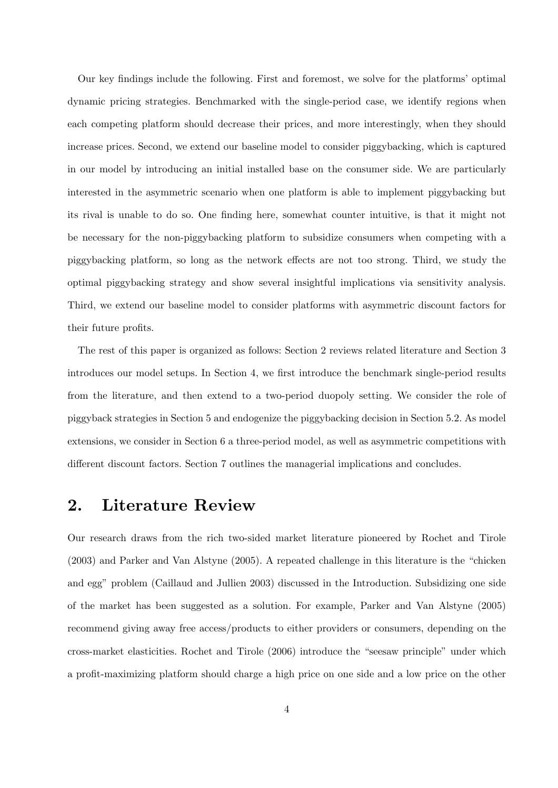Our key findings include the following. First and foremost, we solve for the platforms' optimal dynamic pricing strategies. Benchmarked with the single-period case, we identify regions when each competing platform should decrease their prices, and more interestingly, when they should increase prices. Second, we extend our baseline model to consider piggybacking, which is captured in our model by introducing an initial installed base on the consumer side. We are particularly interested in the asymmetric scenario when one platform is able to implement piggybacking but its rival is unable to do so. One finding here, somewhat counter intuitive, is that it might not be necessary for the non-piggybacking platform to subsidize consumers when competing with a piggybacking platform, so long as the network effects are not too strong. Third, we study the optimal piggybacking strategy and show several insightful implications via sensitivity analysis. Third, we extend our baseline model to consider platforms with asymmetric discount factors for their future profits.

The rest of this paper is organized as follows: Section 2 reviews related literature and Section 3 introduces our model setups. In Section 4, we first introduce the benchmark single-period results from the literature, and then extend to a two-period duopoly setting. We consider the role of piggyback strategies in Section 5 and endogenize the piggybacking decision in Section 5.2. As model extensions, we consider in Section 6 a three-period model, as well as asymmetric competitions with different discount factors. Section 7 outlines the managerial implications and concludes.

### 2. Literature Review

Our research draws from the rich two-sided market literature pioneered by Rochet and Tirole (2003) and Parker and Van Alstyne (2005). A repeated challenge in this literature is the "chicken and egg" problem (Caillaud and Jullien 2003) discussed in the Introduction. Subsidizing one side of the market has been suggested as a solution. For example, Parker and Van Alstyne (2005) recommend giving away free access/products to either providers or consumers, depending on the cross-market elasticities. Rochet and Tirole (2006) introduce the "seesaw principle" under which a profit-maximizing platform should charge a high price on one side and a low price on the other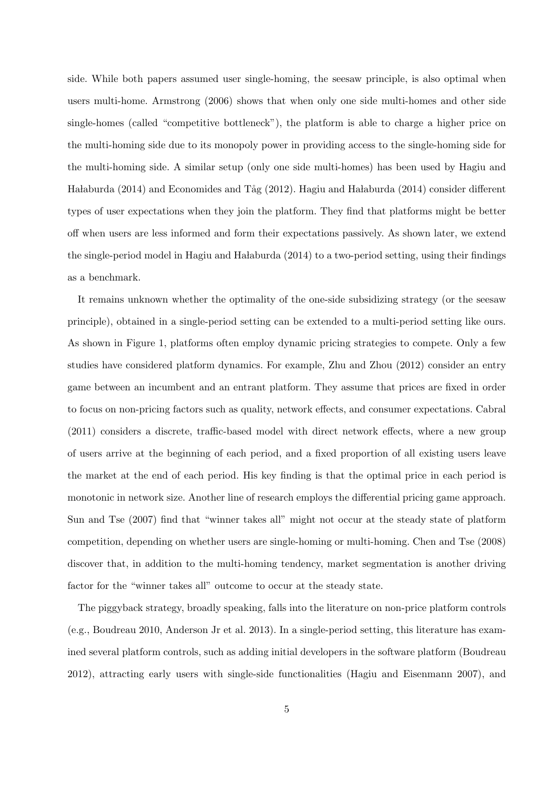side. While both papers assumed user single-homing, the seesaw principle, is also optimal when users multi-home. Armstrong (2006) shows that when only one side multi-homes and other side single-homes (called "competitive bottleneck"), the platform is able to charge a higher price on the multi-homing side due to its monopoly power in providing access to the single-homing side for the multi-homing side. A similar setup (only one side multi-homes) has been used by Hagiu and Ha laburda (2014) and Economides and Tåg (2012). Hagiu and Ha laburda (2014) consider different types of user expectations when they join the platform. They find that platforms might be better off when users are less informed and form their expectations passively. As shown later, we extend the single-period model in Hagiu and Ha laburda  $(2014)$  to a two-period setting, using their findings as a benchmark.

It remains unknown whether the optimality of the one-side subsidizing strategy (or the seesaw principle), obtained in a single-period setting can be extended to a multi-period setting like ours. As shown in Figure 1, platforms often employ dynamic pricing strategies to compete. Only a few studies have considered platform dynamics. For example, Zhu and Zhou (2012) consider an entry game between an incumbent and an entrant platform. They assume that prices are fixed in order to focus on non-pricing factors such as quality, network effects, and consumer expectations. Cabral (2011) considers a discrete, traffic-based model with direct network effects, where a new group of users arrive at the beginning of each period, and a fixed proportion of all existing users leave the market at the end of each period. His key finding is that the optimal price in each period is monotonic in network size. Another line of research employs the differential pricing game approach. Sun and Tse (2007) find that "winner takes all" might not occur at the steady state of platform competition, depending on whether users are single-homing or multi-homing. Chen and Tse (2008) discover that, in addition to the multi-homing tendency, market segmentation is another driving factor for the "winner takes all" outcome to occur at the steady state.

The piggyback strategy, broadly speaking, falls into the literature on non-price platform controls (e.g., Boudreau 2010, Anderson Jr et al. 2013). In a single-period setting, this literature has examined several platform controls, such as adding initial developers in the software platform (Boudreau 2012), attracting early users with single-side functionalities (Hagiu and Eisenmann 2007), and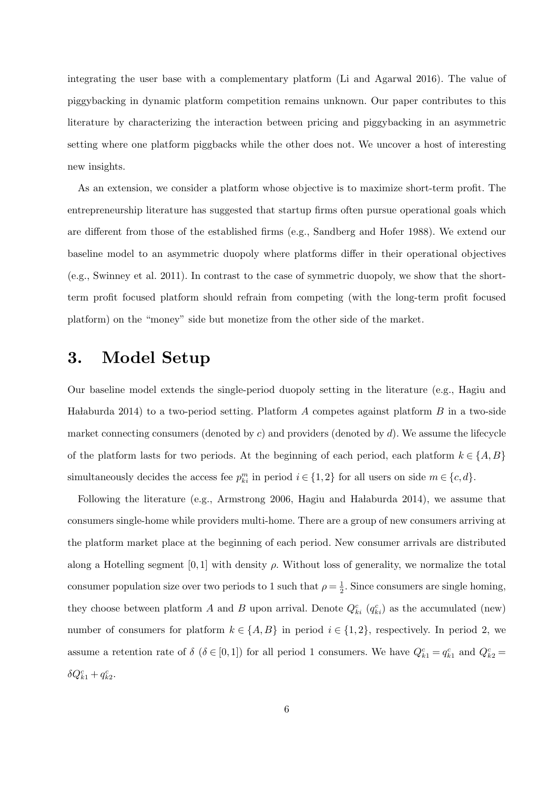integrating the user base with a complementary platform (Li and Agarwal 2016). The value of piggybacking in dynamic platform competition remains unknown. Our paper contributes to this literature by characterizing the interaction between pricing and piggybacking in an asymmetric setting where one platform piggbacks while the other does not. We uncover a host of interesting new insights.

As an extension, we consider a platform whose objective is to maximize short-term profit. The entrepreneurship literature has suggested that startup firms often pursue operational goals which are different from those of the established firms (e.g., Sandberg and Hofer 1988). We extend our baseline model to an asymmetric duopoly where platforms differ in their operational objectives (e.g., Swinney et al. 2011). In contrast to the case of symmetric duopoly, we show that the shortterm profit focused platform should refrain from competing (with the long-term profit focused platform) on the "money" side but monetize from the other side of the market.

## 3. Model Setup

Our baseline model extends the single-period duopoly setting in the literature (e.g., Hagiu and Ha laburda 2014) to a two-period setting. Platform A competes against platform B in a two-side market connecting consumers (denoted by  $c$ ) and providers (denoted by  $d$ ). We assume the lifecycle of the platform lasts for two periods. At the beginning of each period, each platform  $k \in \{A, B\}$ simultaneously decides the access fee  $p_{ki}^m$  in period  $i \in \{1,2\}$  for all users on side  $m \in \{c,d\}$ .

Following the literature (e.g., Armstrong 2006, Hagiu and Halaburda 2014), we assume that consumers single-home while providers multi-home. There are a group of new consumers arriving at the platform market place at the beginning of each period. New consumer arrivals are distributed along a Hotelling segment [0, 1] with density  $\rho$ . Without loss of generality, we normalize the total consumer population size over two periods to 1 such that  $\rho = \frac{1}{2}$  $\frac{1}{2}$ . Since consumers are single homing, they choose between platform A and B upon arrival. Denote  $Q_{ki}^c$  ( $q_{ki}^c$ ) as the accumulated (new) number of consumers for platform  $k \in \{A, B\}$  in period  $i \in \{1, 2\}$ , respectively. In period 2, we assume a retention rate of  $\delta$  ( $\delta \in [0,1]$ ) for all period 1 consumers. We have  $Q_{k1}^c = q_{k1}^c$  and  $Q_{k2}^c =$  $\delta Q_{k1}^c + q_{k2}^c$ .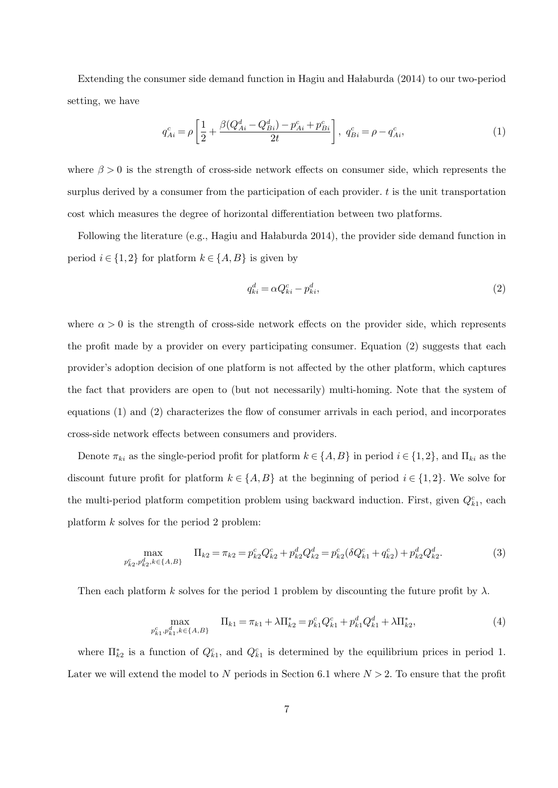Extending the consumer side demand function in Hagiu and Ha laburda (2014) to our two-period setting, we have

$$
q_{Ai}^{c} = \rho \left[ \frac{1}{2} + \frac{\beta (Q_{Ai}^{d} - Q_{Bi}^{d}) - p_{Ai}^{c} + p_{Bi}^{c}}{2t} \right], \ q_{Bi}^{c} = \rho - q_{Ai}^{c}, \tag{1}
$$

where  $\beta > 0$  is the strength of cross-side network effects on consumer side, which represents the surplus derived by a consumer from the participation of each provider. t is the unit transportation cost which measures the degree of horizontal differentiation between two platforms.

Following the literature (e.g., Hagiu and Ha laburda 2014), the provider side demand function in period  $i \in \{1,2\}$  for platform  $k \in \{A, B\}$  is given by

$$
q_{ki}^d = \alpha Q_{ki}^c - p_{ki}^d,\tag{2}
$$

where  $\alpha > 0$  is the strength of cross-side network effects on the provider side, which represents the profit made by a provider on every participating consumer. Equation (2) suggests that each provider's adoption decision of one platform is not affected by the other platform, which captures the fact that providers are open to (but not necessarily) multi-homing. Note that the system of equations (1) and (2) characterizes the flow of consumer arrivals in each period, and incorporates cross-side network effects between consumers and providers.

Denote  $\pi_{ki}$  as the single-period profit for platform  $k \in \{A, B\}$  in period  $i \in \{1, 2\}$ , and  $\Pi_{ki}$  as the discount future profit for platform  $k \in \{A, B\}$  at the beginning of period  $i \in \{1, 2\}$ . We solve for the multi-period platform competition problem using backward induction. First, given  $Q_{k1}^c$ , each platform k solves for the period 2 problem:

$$
\max_{p_{k2}^c, p_{k2}^d, k \in \{A, B\}} \quad \Pi_{k2} = \pi_{k2} = p_{k2}^c Q_{k2}^c + p_{k2}^d Q_{k2}^d = p_{k2}^c (\delta Q_{k1}^c + q_{k2}^c) + p_{k2}^d Q_{k2}^d.
$$
\n(3)

Then each platform k solves for the period 1 problem by discounting the future profit by  $\lambda$ .

$$
\max_{p_{k1}^c, p_{k1}^d, k \in \{A, B\}} \quad \Pi_{k1} = \pi_{k1} + \lambda \Pi_{k2}^* = p_{k1}^c Q_{k1}^c + p_{k1}^d Q_{k1}^d + \lambda \Pi_{k2}^*,
$$
\n(4)

where  $\Pi_{k2}^*$  is a function of  $Q_{k1}^c$ , and  $Q_{k1}^c$  is determined by the equilibrium prices in period 1. Later we will extend the model to N periods in Section 6.1 where  $N > 2$ . To ensure that the profit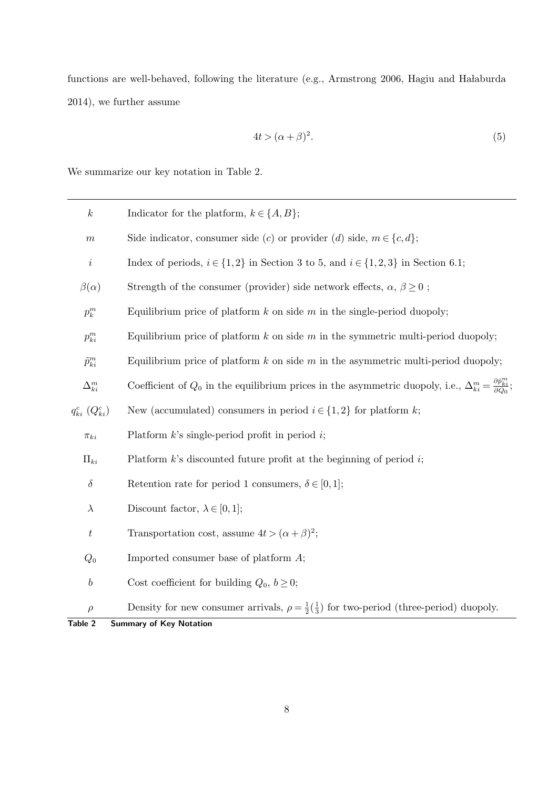functions are well-behaved, following the literature (e.g., Armstrong 2006, Hagiu and Halaburda 2014), we further assume

$$
4t > (\alpha + \beta)^2. \tag{5}
$$

We summarize our key notation in Table 2.

| $\boldsymbol{k}$                  | Indicator for the platform, $k \in \{A, B\};$                                                                                                     |
|-----------------------------------|---------------------------------------------------------------------------------------------------------------------------------------------------|
| $\boldsymbol{m}$                  | Side indicator, consumer side (c) or provider (d) side, $m \in \{c, d\}$ ;                                                                        |
| $\boldsymbol{i}$                  | Index of periods, $i\in\{1,2\}$ in Section 3 to 5, and $i\in\{1,2,3\}$ in Section 6.1;                                                            |
| $\beta(\alpha)$                   | Strength of the consumer (provider) side network effects, $\alpha$ , $\beta \ge 0$ ;                                                              |
| $p_k^m$                           | Equilibrium price of platform $k$ on side $m$ in the single-period duopoly;                                                                       |
| $p_{ki}^m$                        | Equilibrium price of platform $k$ on side $m$ in the symmetric multi-period duopoly;                                                              |
| $\tilde{p}^m_{ki}$                | Equilibrium price of platform $k$ on side $m$ in the asymmetric multi-period duopoly;                                                             |
| $\Delta^m_{ki}$                   | Coefficient of $Q_0$ in the equilibrium prices in the asymmetric duopoly, i.e., $\Delta_{ki}^m = \frac{\partial \tilde{p}_{ki}^m}{\partial Q_0};$ |
| $q_{ki}^c\,\left(Q_{ki}^c\right)$ | New (accumulated) consumers in period $i \in \{1,2\}$ for platform $k$ ;                                                                          |
| $\pi_{ki}$                        | Platform $k$ 's single-period profit in period $i$ ;                                                                                              |
| $\Pi_{ki}$                        | Platform $k$ 's discounted future profit at the beginning of period $i$ ;                                                                         |
| $\delta$                          | Retention rate for period 1 consumers, $\delta \in [0,1]$ ;                                                                                       |
| $\lambda$                         | Discount factor, $\lambda \in [0,1]$ ;                                                                                                            |
| $\boldsymbol{t}$                  | Transportation cost, assume $4t > (\alpha + \beta)^2$ ;                                                                                           |
| $Q_0$                             | Imported consumer base of platform $A$ ;                                                                                                          |
| $\boldsymbol{b}$                  | Cost coefficient for building $Q_0, b \geq 0;$                                                                                                    |
| $\rho$                            | Density for new consumer arrivals, $\rho = \frac{1}{2}(\frac{1}{3})$ for two-period (three-period) duopoly.                                       |
| Table 2                           | <b>Summary of Key Notation</b>                                                                                                                    |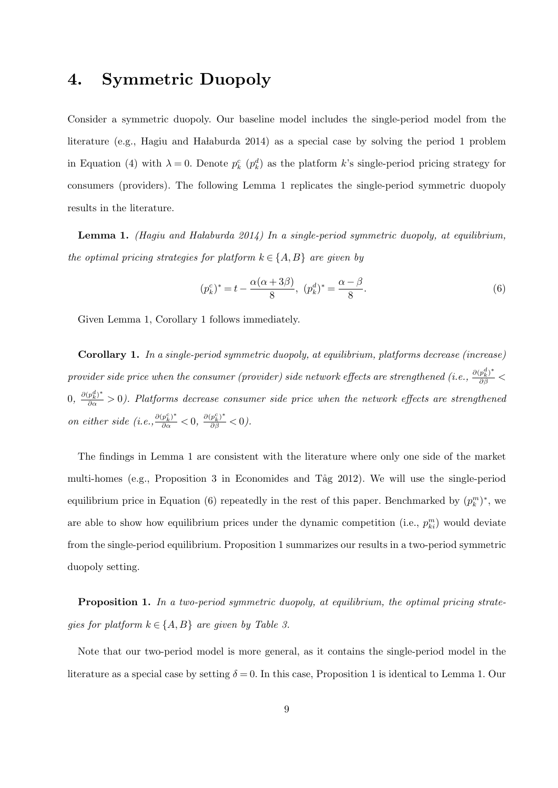## 4. Symmetric Duopoly

Consider a symmetric duopoly. Our baseline model includes the single-period model from the literature (e.g., Hagiu and Ha laburda  $2014$ ) as a special case by solving the period 1 problem in Equation (4) with  $\lambda = 0$ . Denote  $p_k^c$  ( $p_k^d$ ) as the platform k's single-period pricing strategy for consumers (providers). The following Lemma 1 replicates the single-period symmetric duopoly results in the literature.

**Lemma 1.** (Hagiu and Halaburda 2014) In a single-period symmetric duopoly, at equilibrium, the optimal pricing strategies for platform  $k \in \{A, B\}$  are given by

$$
(p_k^c)^* = t - \frac{\alpha(\alpha + 3\beta)}{8}, \ (p_k^d)^* = \frac{\alpha - \beta}{8}.
$$
 (6)

Given Lemma 1, Corollary 1 follows immediately.

Corollary 1. In a single-period symmetric duopoly, at equilibrium, platforms decrease (increase) provider side price when the consumer (provider) side network effects are strengthened (i.e.,  $\frac{\partial(p_k^d)^*}{\partial \beta}$  <  $(0, \frac{\partial (p_k^d)^*}{\partial \alpha} > 0)$ . Platforms decrease consumer side price when the network effects are strengthened on either side (i.e.,  $\frac{\partial (p_k^c)^*}{\partial \alpha} < 0$ ,  $\frac{\partial (p_k^c)^*}{\partial \beta} < 0$ ).

The findings in Lemma 1 are consistent with the literature where only one side of the market multi-homes (e.g., Proposition 3 in Economides and Tåg 2012). We will use the single-period equilibrium price in Equation (6) repeatedly in the rest of this paper. Benchmarked by  $(p_k^m)^*$ , we are able to show how equilibrium prices under the dynamic competition (i.e.,  $p_{ki}^m$ ) would deviate from the single-period equilibrium. Proposition 1 summarizes our results in a two-period symmetric duopoly setting.

Proposition 1. In a two-period symmetric duopoly, at equilibrium, the optimal pricing strategies for platform  $k \in \{A, B\}$  are given by Table 3.

Note that our two-period model is more general, as it contains the single-period model in the literature as a special case by setting  $\delta = 0$ . In this case, Proposition 1 is identical to Lemma 1. Our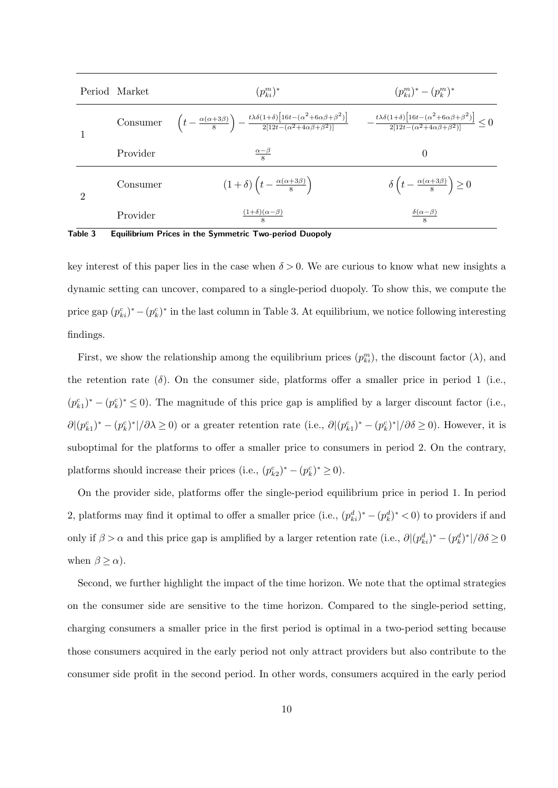|                | Period Market | $(p_{ki}^m)^*$                                                                                                                                                                                                                                                                                               | $(p_{ki}^m)^*-(p_{k}^m)^*$                                   |  |
|----------------|---------------|--------------------------------------------------------------------------------------------------------------------------------------------------------------------------------------------------------------------------------------------------------------------------------------------------------------|--------------------------------------------------------------|--|
|                | Consumer      | $\left(t-\frac{\alpha(\alpha+3\beta)}{8}\right)-\frac{t\lambda\delta(1+\delta)\left[16t-(\alpha^2+6\alpha\beta+\beta^2)\right]}{2[12t-(\alpha^2+4\alpha\beta+\beta^2)]}\qquad-\frac{t\lambda\delta(1+\delta)\left[16t-(\alpha^2+6\alpha\beta+\beta^2)\right]}{2[12t-(\alpha^2+4\alpha\beta+\beta^2)]}\leq 0$ |                                                              |  |
|                | Provider      | $\frac{\alpha-\beta}{8}$                                                                                                                                                                                                                                                                                     | $\theta$                                                     |  |
| $\overline{2}$ | Consumer      | $(1+\delta)\left(t-\frac{\alpha(\alpha+3\beta)}{8}\right)$                                                                                                                                                                                                                                                   | $\delta\left(t-\frac{\alpha(\alpha+3\beta)}{8}\right)\geq 0$ |  |
|                | Provider      | $\frac{(1+\delta)(\alpha-\beta)}{8}$                                                                                                                                                                                                                                                                         | $\frac{\delta(\alpha-\beta)}{8}$                             |  |

Table 3 Equilibrium Prices in the Symmetric Two-period Duopoly

key interest of this paper lies in the case when  $\delta > 0$ . We are curious to know what new insights a dynamic setting can uncover, compared to a single-period duopoly. To show this, we compute the price gap  $(p_{ki}^c)^* - (p_k^c)^*$  in the last column in Table 3. At equilibrium, we notice following interesting findings.

First, we show the relationship among the equilibrium prices  $(p_{ki}^m)$ , the discount factor  $(\lambda)$ , and the retention rate  $(\delta)$ . On the consumer side, platforms offer a smaller price in period 1 (i.e.,  $(p_{k1}^c)^* - (p_k^c)^* \leq 0$ . The magnitude of this price gap is amplified by a larger discount factor (i.e.,  $\partial |(p_{k1}^c)^* - (p_k^c)^*|/\partial \lambda \ge 0$  or a greater retention rate (i.e.,  $\partial |(p_{k1}^c)^* - (p_k^c)^*|/\partial \delta \ge 0$ ). However, it is suboptimal for the platforms to offer a smaller price to consumers in period 2. On the contrary, platforms should increase their prices (i.e.,  $(p_{k2}^c)^* - (p_k^c)^* \ge 0$ ).

On the provider side, platforms offer the single-period equilibrium price in period 1. In period 2, platforms may find it optimal to offer a smaller price (i.e.,  $(p_{ki}^d)^* - (p_k^d)^* < 0$ ) to providers if and only if  $\beta > \alpha$  and this price gap is amplified by a larger retention rate (i.e.,  $\partial |(p_{ki}^d)^* - (p_k^d)^*|/\partial \delta \ge 0$ when  $\beta \ge \alpha$ ).

Second, we further highlight the impact of the time horizon. We note that the optimal strategies on the consumer side are sensitive to the time horizon. Compared to the single-period setting, charging consumers a smaller price in the first period is optimal in a two-period setting because those consumers acquired in the early period not only attract providers but also contribute to the consumer side profit in the second period. In other words, consumers acquired in the early period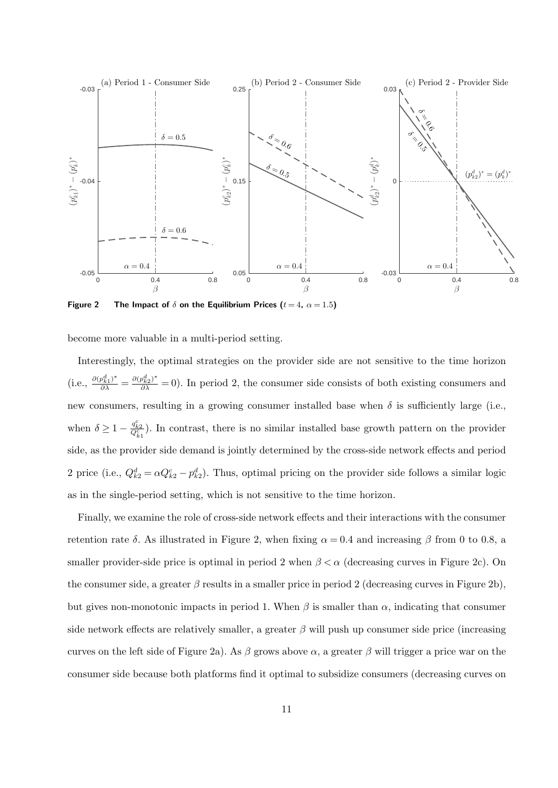

Figure 2 The Impact of  $\delta$  on the Equilibrium Prices ( $t = 4$ ,  $\alpha = 1.5$ )

become more valuable in a multi-period setting.

Interestingly, the optimal strategies on the provider side are not sensitive to the time horizon (i.e.,  $\frac{\partial (p_{k1}^d)^*}{\partial \lambda} = \frac{\partial (p_{k2}^d)^*}{\partial \lambda} = 0$ ). In period 2, the consumer side consists of both existing consumers and new consumers, resulting in a growing consumer installed base when  $\delta$  is sufficiently large (i.e., when  $\delta \geq 1 - \frac{q_{k2}^c}{Q_{k1}^c}$ ). In contrast, there is no similar installed base growth pattern on the provider side, as the provider side demand is jointly determined by the cross-side network effects and period 2 price (i.e.,  $Q_{k2}^d = \alpha Q_{k2}^c - p_{k2}^d$ ). Thus, optimal pricing on the provider side follows a similar logic as in the single-period setting, which is not sensitive to the time horizon.

Finally, we examine the role of cross-side network effects and their interactions with the consumer retention rate δ. As illustrated in Figure 2, when fixing  $\alpha = 0.4$  and increasing β from 0 to 0.8, a smaller provider-side price is optimal in period 2 when  $\beta < \alpha$  (decreasing curves in Figure 2c). On the consumer side, a greater  $\beta$  results in a smaller price in period 2 (decreasing curves in Figure 2b), but gives non-monotonic impacts in period 1. When  $\beta$  is smaller than  $\alpha$ , indicating that consumer side network effects are relatively smaller, a greater  $\beta$  will push up consumer side price (increasing curves on the left side of Figure 2a). As β grows above  $\alpha$ , a greater β will trigger a price war on the consumer side because both platforms find it optimal to subsidize consumers (decreasing curves on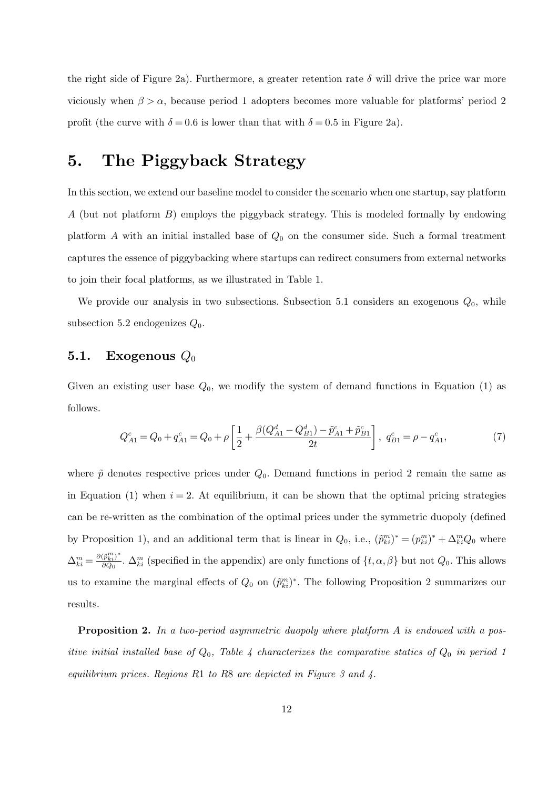the right side of Figure 2a). Furthermore, a greater retention rate  $\delta$  will drive the price war more viciously when  $\beta > \alpha$ , because period 1 adopters becomes more valuable for platforms' period 2 profit (the curve with  $\delta = 0.6$  is lower than that with  $\delta = 0.5$  in Figure 2a).

# 5. The Piggyback Strategy

In this section, we extend our baseline model to consider the scenario when one startup, say platform A (but not platform B) employs the piggyback strategy. This is modeled formally by endowing platform A with an initial installed base of  $Q_0$  on the consumer side. Such a formal treatment captures the essence of piggybacking where startups can redirect consumers from external networks to join their focal platforms, as we illustrated in Table 1.

We provide our analysis in two subsections. Subsection 5.1 considers an exogenous  $Q_0$ , while subsection 5.2 endogenizes  $Q_0$ .

#### 5.1. Exogenous  $Q_0$

Given an existing user base  $Q_0$ , we modify the system of demand functions in Equation (1) as follows.

$$
Q_{A1}^{c} = Q_0 + q_{A1}^{c} = Q_0 + \rho \left[ \frac{1}{2} + \frac{\beta (Q_{A1}^{d} - Q_{B1}^{d}) - \tilde{p}_{A1}^{c} + \tilde{p}_{B1}^{c}}{2t} \right], \ q_{B1}^{c} = \rho - q_{A1}^{c}, \tag{7}
$$

where  $\tilde{p}$  denotes respective prices under  $Q_0$ . Demand functions in period 2 remain the same as in Equation (1) when  $i = 2$ . At equilibrium, it can be shown that the optimal pricing strategies can be re-written as the combination of the optimal prices under the symmetric duopoly (defined by Proposition 1), and an additional term that is linear in  $Q_0$ , i.e.,  $(\tilde{p}_{ki}^m)^* = (p_{ki}^m)^* + \Delta_{ki}^m Q_0$  where  $\Delta_{ki}^m = \frac{\partial (\tilde{p}_{ki}^m)^*}{\partial Q_0}$  $\frac{(p_{ki}^{n})}{\partial Q_0}$ .  $\Delta_{ki}^m$  (specified in the appendix) are only functions of  $\{t, \alpha, \beta\}$  but not  $Q_0$ . This allows us to examine the marginal effects of  $Q_0$  on  $(\tilde{p}_{ki}^m)^*$ . The following Proposition 2 summarizes our results.

**Proposition 2.** In a two-period asymmetric duopoly where platform A is endowed with a positive initial installed base of  $Q_0$ , Table 4 characterizes the comparative statics of  $Q_0$  in period 1 equilibrium prices. Regions R1 to R8 are depicted in Figure 3 and  $\lambda$ .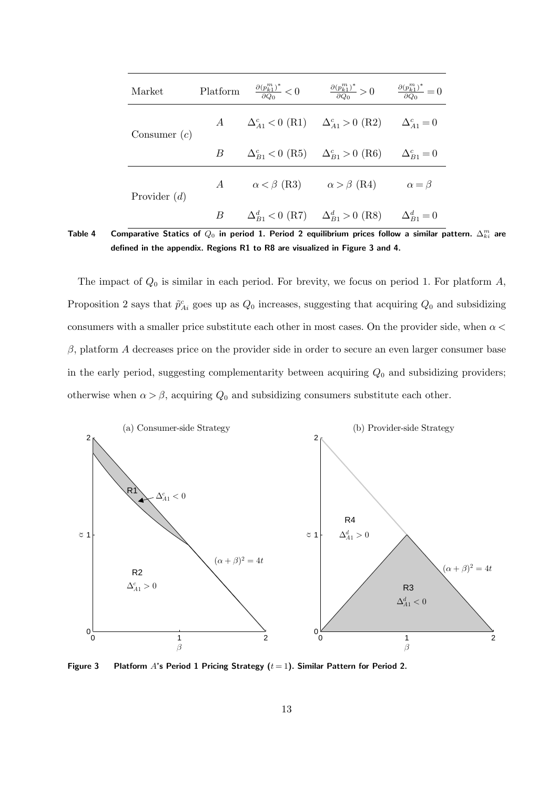| Market         | Platform       | $\frac{\partial (p_{k1}^m)^*}{\partial Q_0} < 0$    | $\frac{\partial (p_{k1}^m)^*}{\partial Q_0} > 0$                      | $\frac{\partial (p_{k1}^m)^*}{\partial Q_0}=0$ |
|----------------|----------------|-----------------------------------------------------|-----------------------------------------------------------------------|------------------------------------------------|
| Consumer $(c)$ | $\overline{A}$ |                                                     | $\Delta_{A1}^c < 0$ (R1) $\Delta_{A1}^c > 0$ (R2) $\Delta_{A1}^c = 0$ |                                                |
|                | B              |                                                     | $\Delta_{B_1}^c < 0$ (R5) $\Delta_{B_1}^c > 0$ (R6)                   | $\Delta_{B1}^c = 0$                            |
| Provider $(d)$ | $\overline{A}$ | $\alpha < \beta$ (R3)                               | $\alpha > \beta$ (R4)                                                 | $\alpha = \beta$                               |
|                | В              | $\Delta_{B_1}^d < 0$ (R7) $\Delta_{B_1}^d > 0$ (R8) |                                                                       | $\Delta_{B1}^d = 0$                            |

Table 4 Comparative Statics of  $Q_0$  in period 1. Period 2 equilibrium prices follow a similar pattern.  $\Delta_{ki}^m$  are defined in the appendix. Regions R1 to R8 are visualized in Figure 3 and 4.

The impact of  $Q_0$  is similar in each period. For brevity, we focus on period 1. For platform  $A$ , Proposition 2 says that  $\tilde{p}_{Ai}^c$  goes up as  $Q_0$  increases, suggesting that acquiring  $Q_0$  and subsidizing consumers with a smaller price substitute each other in most cases. On the provider side, when  $\alpha$  $\beta$ , platform A decreases price on the provider side in order to secure an even larger consumer base in the early period, suggesting complementarity between acquiring  $Q_0$  and subsidizing providers; otherwise when  $\alpha > \beta$ , acquiring  $Q_0$  and subsidizing consumers substitute each other.



Figure 3 Platform A's Period 1 Pricing Strategy  $(t = 1)$ . Similar Pattern for Period 2.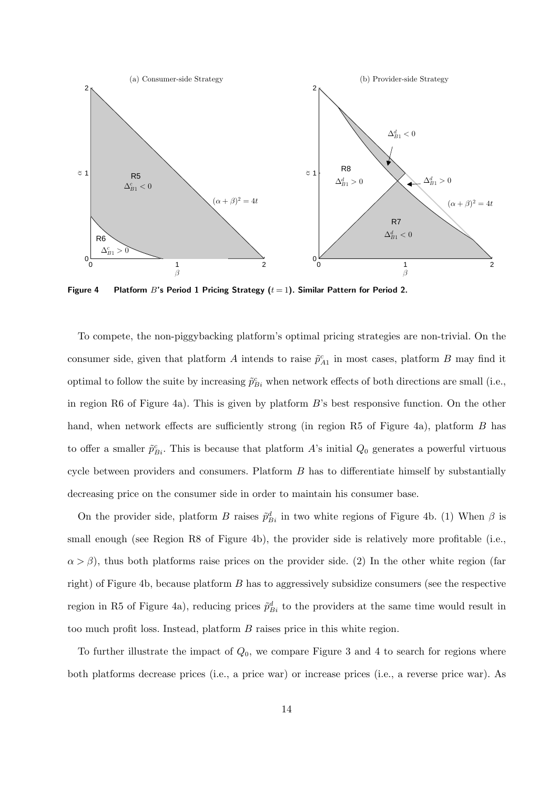

Figure 4 Platform B's Period 1 Pricing Strategy  $(t = 1)$ . Similar Pattern for Period 2.

To compete, the non-piggybacking platform's optimal pricing strategies are non-trivial. On the consumer side, given that platform A intends to raise  $\tilde{p}_{A1}^c$  in most cases, platform B may find it optimal to follow the suite by increasing  $\tilde{p}_{Bi}^c$  when network effects of both directions are small (i.e., in region R6 of Figure 4a). This is given by platform  $B$ 's best responsive function. On the other hand, when network effects are sufficiently strong (in region R5 of Figure 4a), platform B has to offer a smaller  $\tilde{p}_{Bi}^c$ . This is because that platform A's initial  $Q_0$  generates a powerful virtuous cycle between providers and consumers. Platform B has to differentiate himself by substantially decreasing price on the consumer side in order to maintain his consumer base.

On the provider side, platform B raises  $\tilde{p}_{Bi}^d$  in two white regions of Figure 4b. (1) When  $\beta$  is small enough (see Region R8 of Figure 4b), the provider side is relatively more profitable (i.e.,  $\alpha > \beta$ ), thus both platforms raise prices on the provider side. (2) In the other white region (far right) of Figure 4b, because platform B has to aggressively subsidize consumers (see the respective region in R5 of Figure 4a), reducing prices  $\tilde{p}_{Bi}^d$  to the providers at the same time would result in too much profit loss. Instead, platform  $B$  raises price in this white region.

To further illustrate the impact of  $Q_0$ , we compare Figure 3 and 4 to search for regions where both platforms decrease prices (i.e., a price war) or increase prices (i.e., a reverse price war). As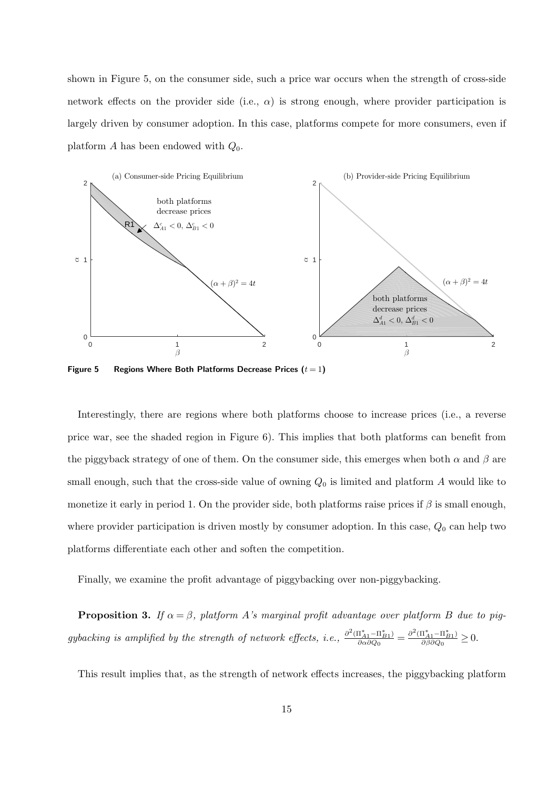shown in Figure 5, on the consumer side, such a price war occurs when the strength of cross-side network effects on the provider side (i.e.,  $\alpha$ ) is strong enough, where provider participation is largely driven by consumer adoption. In this case, platforms compete for more consumers, even if platform A has been endowed with  $Q_0$ .



Figure 5 Regions Where Both Platforms Decrease Prices  $(t = 1)$ 

Interestingly, there are regions where both platforms choose to increase prices (i.e., a reverse price war, see the shaded region in Figure 6). This implies that both platforms can benefit from the piggyback strategy of one of them. On the consumer side, this emerges when both  $\alpha$  and  $\beta$  are small enough, such that the cross-side value of owning  $Q_0$  is limited and platform A would like to monetize it early in period 1. On the provider side, both platforms raise prices if  $\beta$  is small enough, where provider participation is driven mostly by consumer adoption. In this case,  $Q_0$  can help two platforms differentiate each other and soften the competition.

Finally, we examine the profit advantage of piggybacking over non-piggybacking.

**Proposition 3.** If  $\alpha = \beta$ , platform A's marginal profit advantage over platform B due to piggybacking is amplified by the strength of network effects, i.e.,  $\frac{\partial^2 (\Pi_{A1}^* - \Pi_{B1}^*)}{\partial \alpha \partial \Omega_2}$  $\frac{(\Pi_{A1}^* - \Pi_{B1}^*)}{\partial \alpha \partial Q_0} = \frac{\partial^2 (\Pi_{A1}^* - \Pi_{B1}^*)}{\partial \beta \partial Q_0}$  $\frac{\partial (I_{A1}-\Pi_{B1})}{\partial \beta \partial Q_0} \geq 0.$ 

This result implies that, as the strength of network effects increases, the piggybacking platform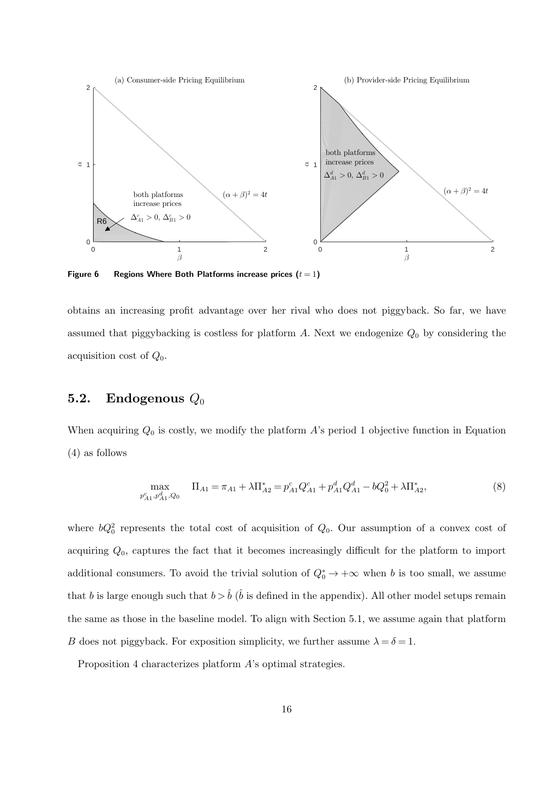

Figure 6 Regions Where Both Platforms increase prices  $(t = 1)$ 

obtains an increasing profit advantage over her rival who does not piggyback. So far, we have assumed that piggybacking is costless for platform  $A$ . Next we endogenize  $Q_0$  by considering the acquisition cost of  $Q_0$ .

### 5.2. Endogenous  $Q_0$

When acquiring  $Q_0$  is costly, we modify the platform A's period 1 objective function in Equation (4) as follows

$$
\max_{p_{A1}^c, p_{A1}^d, Q_0} \quad \Pi_{A1} = \pi_{A1} + \lambda \Pi_{A2}^* = p_{A1}^c Q_{A1}^c + p_{A1}^d Q_{A1}^d - bQ_0^2 + \lambda \Pi_{A2}^*,
$$
\n(8)

where  $bQ_0^2$  represents the total cost of acquisition of  $Q_0$ . Our assumption of a convex cost of acquiring  $Q_0$ , captures the fact that it becomes increasingly difficult for the platform to import additional consumers. To avoid the trivial solution of  $Q_0^* \to +\infty$  when b is too small, we assume that b is large enough such that  $b > \hat{b}$  ( $\hat{b}$  is defined in the appendix). All other model setups remain the same as those in the baseline model. To align with Section 5.1, we assume again that platform B does not piggyback. For exposition simplicity, we further assume  $\lambda = \delta = 1$ .

Proposition 4 characterizes platform A's optimal strategies.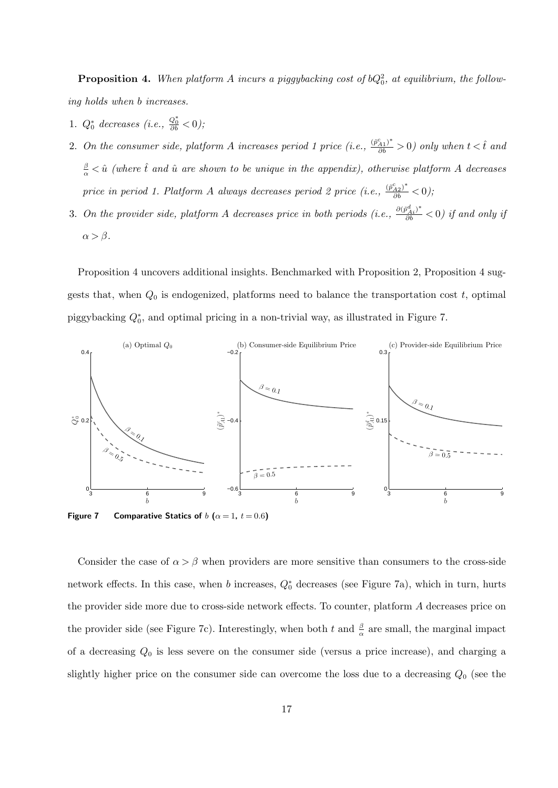**Proposition 4.** When platform A incurs a piggybacking cost of  $bQ_0^2$ , at equilibrium, the following holds when b increases.

- 1.  $Q_0^*$  decreases (i.e.,  $\frac{Q_0^*}{\partial b} < 0$ );
- 2. On the consumer side, platform A increases period 1 price (i.e.,  $\frac{(\tilde{p}_{A1}^c)^*}{\partial b} > 0$ ) only when  $t < \hat{t}$  and  $\frac{\beta}{\alpha} < \hat{u}$  (where  $\hat{t}$  and  $\hat{u}$  are shown to be unique in the appendix), otherwise platform A decreases price in period 1. Platform A always decreases period 2 price (i.e.,  $\frac{(\tilde{p}_{A2})^*}{\partial b} < 0$ );
- 3. On the provider side, platform A decreases price in both periods (i.e.,  $\frac{\partial (\tilde{p}_{Ai}^d)^*}{\partial b} < 0$ ) if and only if  $\alpha > \beta$ .

Proposition 4 uncovers additional insights. Benchmarked with Proposition 2, Proposition 4 suggests that, when  $Q_0$  is endogenized, platforms need to balance the transportation cost  $t$ , optimal piggybacking  $Q_0^*$ , and optimal pricing in a non-trivial way, as illustrated in Figure 7.



Figure 7 Comparative Statics of  $b$   $(\alpha = 1, t = 0.6)$ 

Consider the case of  $\alpha > \beta$  when providers are more sensitive than consumers to the cross-side network effects. In this case, when b increases,  $Q_0^*$  decreases (see Figure 7a), which in turn, hurts the provider side more due to cross-side network effects. To counter, platform A decreases price on the provider side (see Figure 7c). Interestingly, when both t and  $\frac{\beta}{\alpha}$  are small, the marginal impact of a decreasing  $Q_0$  is less severe on the consumer side (versus a price increase), and charging a slightly higher price on the consumer side can overcome the loss due to a decreasing  $Q_0$  (see the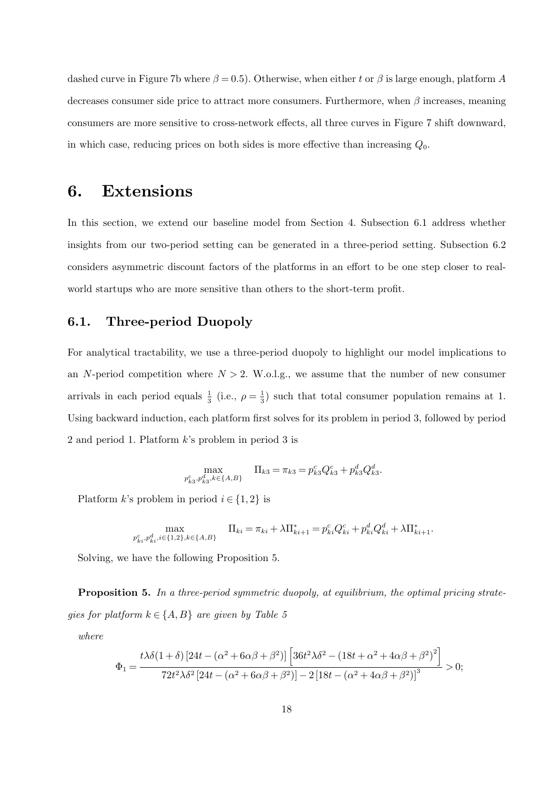dashed curve in Figure 7b where  $\beta = 0.5$ ). Otherwise, when either t or  $\beta$  is large enough, platform A decreases consumer side price to attract more consumers. Furthermore, when  $\beta$  increases, meaning consumers are more sensitive to cross-network effects, all three curves in Figure 7 shift downward, in which case, reducing prices on both sides is more effective than increasing  $Q_0$ .

### 6. Extensions

In this section, we extend our baseline model from Section 4. Subsection 6.1 address whether insights from our two-period setting can be generated in a three-period setting. Subsection 6.2 considers asymmetric discount factors of the platforms in an effort to be one step closer to realworld startups who are more sensitive than others to the short-term profit.

#### 6.1. Three-period Duopoly

For analytical tractability, we use a three-period duopoly to highlight our model implications to an N-period competition where  $N > 2$ . W.o.l.g., we assume that the number of new consumer arrivals in each period equals  $\frac{1}{3}$  (i.e.,  $\rho = \frac{1}{3}$  $\frac{1}{3}$ ) such that total consumer population remains at 1. Using backward induction, each platform first solves for its problem in period 3, followed by period 2 and period 1. Platform k's problem in period 3 is

$$
\max_{p_{k3}^c, p_{k3}^d, k \in \{A, B\}} \quad \Pi_{k3} = \pi_{k3} = p_{k3}^c Q_{k3}^c + p_{k3}^d Q_{k3}^d.
$$

Platform k's problem in period  $i \in \{1,2\}$  is

$$
\max_{p_{ki}^c, p_{ki}^d, i \in \{1,2\}, k \in \{A, B\}} \quad \Pi_{ki} = \pi_{ki} + \lambda \Pi_{ki+1}^* = p_{ki}^c Q_{ki}^c + p_{ki}^d Q_{ki}^d + \lambda \Pi_{ki+1}^*.
$$

Solving, we have the following Proposition 5.

Proposition 5. In a three-period symmetric duopoly, at equilibrium, the optimal pricing strategies for platform  $k \in \{A, B\}$  are given by Table 5

where

$$
\Phi_1 = \frac{t\lambda\delta(1+\delta)\left[24t - (\alpha^2 + 6\alpha\beta + \beta^2)\right]\left[36t^2\lambda\delta^2 - \left(18t + \alpha^2 + 4\alpha\beta + \beta^2\right)^2\right]}{72t^2\lambda\delta^2\left[24t - (\alpha^2 + 6\alpha\beta + \beta^2)\right] - 2\left[18t - (\alpha^2 + 4\alpha\beta + \beta^2)\right]^3} > 0;
$$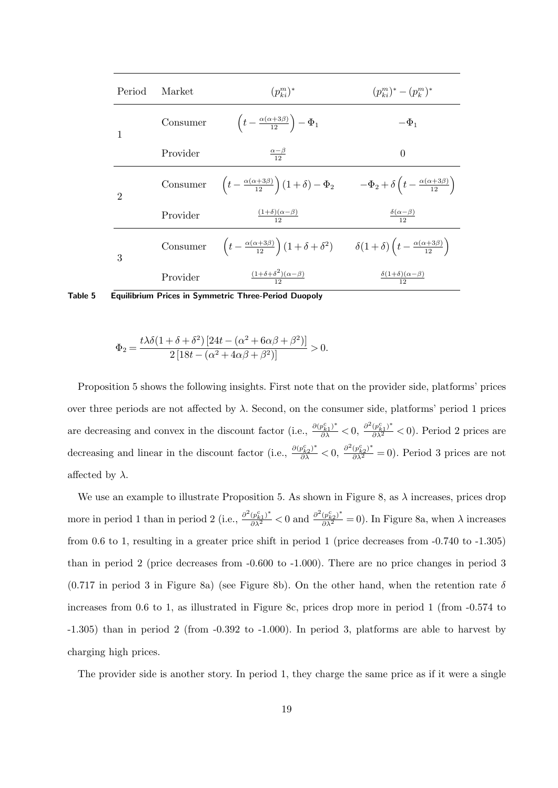| Period         | Market   | $(p_{ki}^m)^*$                                                                                                                                      | $(p_{k,i}^m)^*-(p_k^m)^*$                   |
|----------------|----------|-----------------------------------------------------------------------------------------------------------------------------------------------------|---------------------------------------------|
|                | Consumer | $\left(t-\frac{\alpha(\alpha+3\beta)}{12}\right)-\Phi_1$                                                                                            | $-\Phi_1$                                   |
|                | Provider | $\frac{\alpha-\beta}{12}$                                                                                                                           | $\theta$                                    |
| $\mathfrak{D}$ |          | Consumer $\left(t - \frac{\alpha(\alpha+3\beta)}{12}\right)(1+\delta) - \Phi_2$ $-\Phi_2 + \delta\left(t - \frac{\alpha(\alpha+3\beta)}{12}\right)$ |                                             |
|                | Provider | $\frac{(1+\delta)(\alpha-\beta)}{12}$                                                                                                               | $\frac{\delta(\alpha-\beta)}{12}$           |
| 3              |          | Consumer $\left(t - \frac{\alpha(\alpha+3\beta)}{12}\right)(1+\delta+\delta^2)$ $\delta(1+\delta)\left(t - \frac{\alpha(\alpha+3\beta)}{12}\right)$ |                                             |
|                | Provider | $\frac{(1+\delta+\delta^2)(\alpha-\beta)}{12}$                                                                                                      | $\frac{\delta(1+\delta)(\alpha-\beta)}{12}$ |

Table 5 Equilibrium Prices in Symmetric Three-Period Duopoly

$$
\Phi_2 = \frac{t\lambda\delta(1+\delta+\delta^2)[24t - (\alpha^2 + 6\alpha\beta + \beta^2)]}{2[18t - (\alpha^2 + 4\alpha\beta + \beta^2)]} > 0.
$$

Proposition 5 shows the following insights. First note that on the provider side, platforms' prices over three periods are not affected by  $\lambda$ . Second, on the consumer side, platforms' period 1 prices are decreasing and convex in the discount factor (i.e.,  $\frac{\partial (p_{k1}^c)^*}{\partial \lambda} < 0$ ,  $\frac{\partial^2 (p_{k1}^c)^*}{\partial \lambda^2} < 0$ ). Period 2 prices are decreasing and linear in the discount factor (i.e.,  $\frac{\partial (p_{k2}^c)^*}{\partial \lambda} < 0$ ,  $\frac{\partial^2 (p_{k2}^c)^*}{\partial \lambda^2} = 0$ ). Period 3 prices are not affected by  $\lambda$ .

We use an example to illustrate Proposition 5. As shown in Figure 8, as  $\lambda$  increases, prices drop more in period 1 than in period 2 (i.e.,  $\frac{\partial^2 (p_{k1}^c)^*}{\partial \lambda^2} < 0$  and  $\frac{\partial^2 (p_{k2}^c)^*}{\partial \lambda^2} = 0$ ). In Figure 8a, when  $\lambda$  increases from 0.6 to 1, resulting in a greater price shift in period 1 (price decreases from -0.740 to -1.305) than in period 2 (price decreases from -0.600 to -1.000). There are no price changes in period 3  $(0.717 \text{ in period 3 in Figure 8a})$  (see Figure 8b). On the other hand, when the retention rate  $\delta$ increases from 0.6 to 1, as illustrated in Figure 8c, prices drop more in period 1 (from -0.574 to -1.305) than in period 2 (from -0.392 to -1.000). In period 3, platforms are able to harvest by charging high prices.

The provider side is another story. In period 1, they charge the same price as if it were a single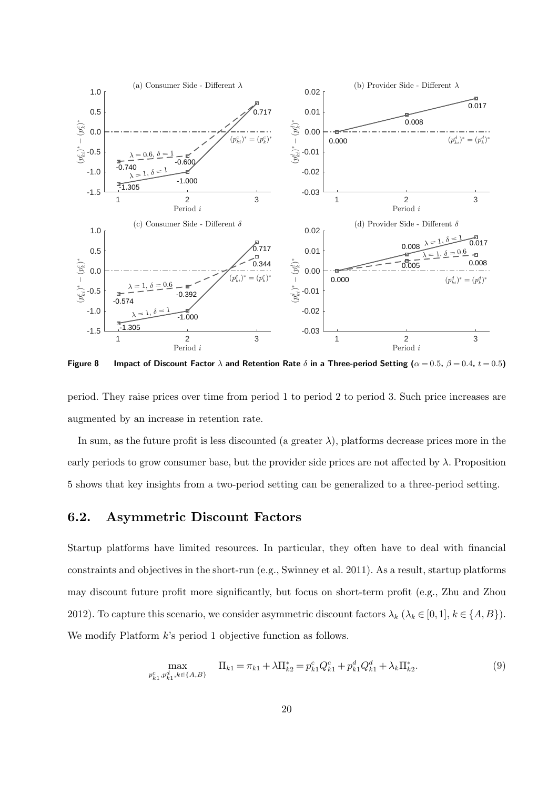

Figure 8 Impact of Discount Factor  $\lambda$  and Retention Rate  $\delta$  in a Three-period Setting ( $\alpha = 0.5$ ,  $\beta = 0.4$ ,  $t = 0.5$ )

period. They raise prices over time from period 1 to period 2 to period 3. Such price increases are augmented by an increase in retention rate.

In sum, as the future profit is less discounted (a greater  $\lambda$ ), platforms decrease prices more in the early periods to grow consumer base, but the provider side prices are not affected by  $\lambda$ . Proposition 5 shows that key insights from a two-period setting can be generalized to a three-period setting.

#### 6.2. Asymmetric Discount Factors

Startup platforms have limited resources. In particular, they often have to deal with financial constraints and objectives in the short-run (e.g., Swinney et al. 2011). As a result, startup platforms may discount future profit more significantly, but focus on short-term profit (e.g., Zhu and Zhou 2012). To capture this scenario, we consider asymmetric discount factors  $\lambda_k$  ( $\lambda_k \in [0,1], k \in \{A, B\}$ ). We modify Platform  $k$ 's period 1 objective function as follows.

$$
\max_{p_{k1}^c, p_{k1}^d, k \in \{A, B\}} \quad \Pi_{k1} = \pi_{k1} + \lambda \Pi_{k2}^* = p_{k1}^c Q_{k1}^c + p_{k1}^d Q_{k1}^d + \lambda_k \Pi_{k2}^*.
$$
\n(9)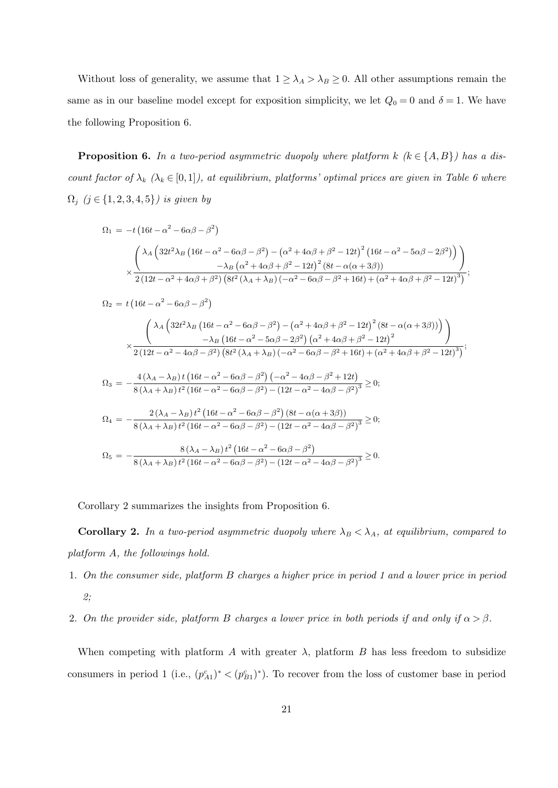Without loss of generality, we assume that  $1 \geq \lambda_A > \lambda_B \geq 0$ . All other assumptions remain the same as in our baseline model except for exposition simplicity, we let  $Q_0 = 0$  and  $\delta = 1$ . We have the following Proposition 6.

**Proposition 6.** In a two-period asymmetric duopoly where platform k  $(k \in \{A, B\})$  has a discount factor of  $\lambda_k$  ( $\lambda_k \in [0,1]$ ), at equilibrium, platforms' optimal prices are given in Table 6 where  $\Omega_j$   $(j \in \{1, 2, 3, 4, 5\})$  is given by

$$
\Omega_1 = -t \left(16t - \alpha^2 - 6\alpha\beta - \beta^2\right)
$$
  

$$
\times \frac{\left(\lambda_A \left(32t^2\lambda_B \left(16t - \alpha^2 - 6\alpha\beta - \beta^2\right) - \left(\alpha^2 + 4\alpha\beta + \beta^2 - 12t\right)^2 \left(16t - \alpha^2 - 5\alpha\beta - 2\beta^2\right)\right)\right)}{-\lambda_B \left(\alpha^2 + 4\alpha\beta + \beta^2 - 12t\right)^2 \left(8t - \alpha(\alpha + 3\beta)\right)}
$$
  

$$
\times \frac{2\left(12t - \alpha^2 + 4\alpha\beta + \beta^2\right) \left(8t^2\left(\lambda_A + \lambda_B\right)\left(-\alpha^2 - 6\alpha\beta - \beta^2 + 16t\right) + \left(\alpha^2 + 4\alpha\beta + \beta^2 - 12t\right)^3\right)}{2\left(12t - \alpha^2 + 4\alpha\beta + \beta^2\right) \left(8t^2\left(\lambda_A + \lambda_B\right)\left(-\alpha^2 - 6\alpha\beta - \beta^2 + 16t\right) + \left(\alpha^2 + 4\alpha\beta + \beta^2 - 12t\right)^3\right)}
$$

$$
\Omega_{2} = t \left(16t - \alpha^{2} - 6\alpha\beta - \beta^{2}\right)
$$
\n
$$
\times \frac{\left(\lambda_{A}\left(32t^{2}\lambda_{B}\left(16t - \alpha^{2} - 6\alpha\beta - \beta^{2}\right) - \left(\alpha^{2} + 4\alpha\beta + \beta^{2} - 12t\right)^{2}\left(8t - \alpha(\alpha + 3\beta)\right)\right)\right)}{-\lambda_{B}\left(16t - \alpha^{2} - 5\alpha\beta - 2\beta^{2}\right)\left(\alpha^{2} + 4\alpha\beta + \beta^{2} - 12t\right)^{2}}\right)}
$$
\n
$$
\times \frac{1}{2\left(12t - \alpha^{2} - 4\alpha\beta - \beta^{2}\right)\left(8t^{2}\left(\lambda_{A} + \lambda_{B}\right)\left(-\alpha^{2} - 6\alpha\beta - \beta^{2} + 16t\right) + \left(\alpha^{2} + 4\alpha\beta + \beta^{2} - 12t\right)^{3}\right)};
$$
\n
$$
\Omega_{3} = -\frac{4\left(\lambda_{A} - \lambda_{B}\right)t\left(16t - \alpha^{2} - 6\alpha\beta - \beta^{2}\right)\left(-\alpha^{2} - 4\alpha\beta - \beta^{2} + 12t\right)}{8\left(\lambda_{A} + \lambda_{B}\right)t^{2}\left(16t - \alpha^{2} - 6\alpha\beta - \beta^{2}\right) - \left(12t - \alpha^{2} - 4\alpha\beta - \beta^{2}\right)^{3}} \ge 0;
$$
\n
$$
\Omega_{4} = -\frac{2\left(\lambda_{A} - \lambda_{B}\right)t^{2}\left(16t - \alpha^{2} - 6\alpha\beta - \beta^{2}\right)\left(8t - \alpha(\alpha + 3\beta)\right)}{8\left(\lambda_{A} + \lambda_{B}\right)t^{2}\left(16t - \alpha^{2} - 6\alpha\beta - \beta^{2}\right) - \left(12t - \alpha^{2} - 4\alpha\beta - \beta^{2}\right)^{3}} \ge 0;
$$
\n
$$
\Omega_{5} = -\frac{8\left(\lambda_{A} - \lambda_{B}\right)t^{2}\left(16t - \alpha^{2} - 6\alpha\beta - \beta^{2}\right)}{8\left(\lambda_{A} + \lambda_{B}\right)t^{2}\left(16t -
$$

Corollary 2 summarizes the insights from Proposition 6.

**Corollary 2.** In a two-period asymmetric duopoly where  $\lambda_B < \lambda_A$ , at equilibrium, compared to platform A, the followings hold.

- 1. On the consumer side, platform B charges a higher price in period 1 and a lower price in period 2;
- 2. On the provider side, platform B charges a lower price in both periods if and only if  $\alpha > \beta$ .

When competing with platform A with greater  $\lambda$ , platform B has less freedom to subsidize consumers in period 1 (i.e.,  $(p_{A1}^c)^* < (p_{B1}^c)^*$ ). To recover from the loss of customer base in period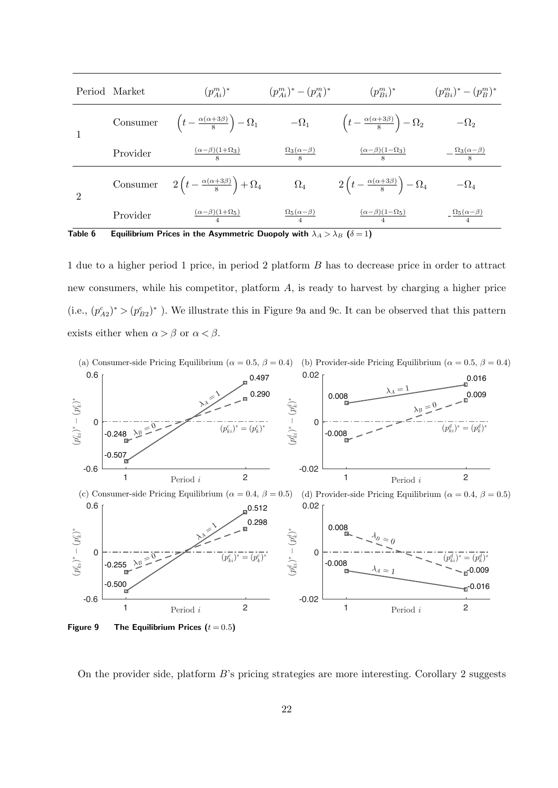|                | Period Market | $(p_{Ai}^{m})^*$                                           | $(p_{Ai}^m)^*-(p_A^m)^*$           | $(p_{Bi}^m)^*$                                             | $(p_{Bi}^m)^*-(p_B^m)^*$            |
|----------------|---------------|------------------------------------------------------------|------------------------------------|------------------------------------------------------------|-------------------------------------|
|                | Consumer      | $\left(t-\frac{\alpha(\alpha+3\beta)}{8}\right)-\Omega_1$  | $-\Omega_1$                        | $\left(t-\frac{\alpha(\alpha+3\beta)}{8}\right)-\Omega_2$  | $-\Omega_2$                         |
|                | Provider      | $\frac{(\alpha-\beta)(1+\Omega_3)}{8}$                     | $\frac{\Omega_3(\alpha-\beta)}{8}$ | $\frac{(\alpha-\beta)(1-\Omega_3)}{8}$                     | $-\frac{\Omega_3(\alpha-\beta)}{8}$ |
| $\overline{2}$ | Consumer      | $2\left(t-\frac{\alpha(\alpha+3\beta)}{8}\right)+\Omega_4$ | $\Omega_4$                         | $2\left(t-\frac{\alpha(\alpha+3\beta)}{8}\right)-\Omega_4$ | $-\Omega_4$                         |
|                | Provider      | $\frac{(\alpha-\beta)(1+\Omega_5)}{4}$                     | $\frac{\Omega_5(\alpha-\beta)}{4}$ | $\frac{(\alpha-\beta)(1-\Omega_5)}{4}$                     | $-\frac{\Omega_5(\alpha-\beta)}{4}$ |

Table 6 Equilibrium Prices in the Asymmetric Duopoly with  $\lambda_A > \lambda_B$  ( $\delta = 1$ )

1 due to a higher period 1 price, in period 2 platform B has to decrease price in order to attract new consumers, while his competitor, platform A, is ready to harvest by charging a higher price (i.e.,  $(p_{A2}^c)^* > (p_{B2}^c)^*$ ). We illustrate this in Figure 9a and 9c. It can be observed that this pattern exists either when  $\alpha > \beta$  or  $\alpha < \beta$ .



On the provider side, platform B's pricing strategies are more interesting. Corollary 2 suggests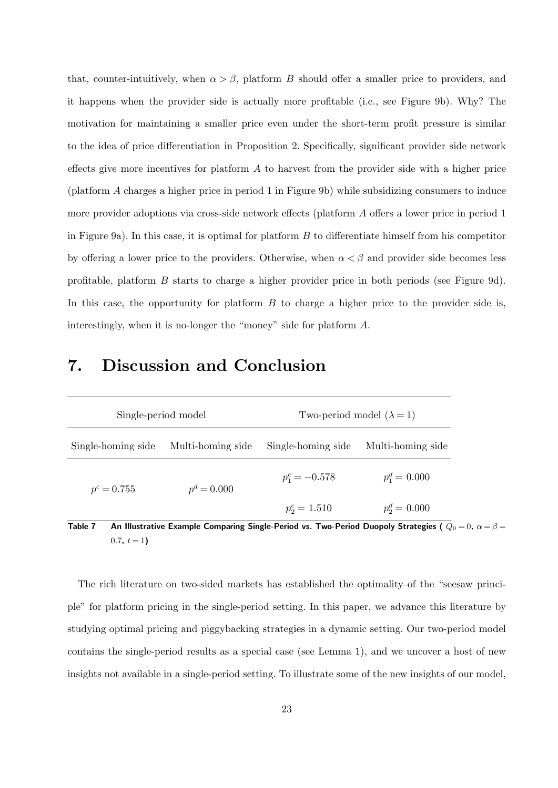that, counter-intuitively, when  $\alpha > \beta$ , platform B should offer a smaller price to providers, and it happens when the provider side is actually more profitable (i.e., see Figure 9b). Why? The motivation for maintaining a smaller price even under the short-term profit pressure is similar to the idea of price differentiation in Proposition 2. Specifically, significant provider side network effects give more incentives for platform  $A$  to harvest from the provider side with a higher price (platform A charges a higher price in period 1 in Figure 9b) while subsidizing consumers to induce more provider adoptions via cross-side network effects (platform A offers a lower price in period 1 in Figure 9a). In this case, it is optimal for platform  $B$  to differentiate himself from his competitor by offering a lower price to the providers. Otherwise, when  $\alpha < \beta$  and provider side becomes less profitable, platform B starts to charge a higher provider price in both periods (see Figure 9d). In this case, the opportunity for platform  $B$  to charge a higher price to the provider side is, interestingly, when it is no-longer the "money" side for platform A.

| Single-period model                                                                                         |                   | Two-period model $(\lambda = 1)$ |                   |  |
|-------------------------------------------------------------------------------------------------------------|-------------------|----------------------------------|-------------------|--|
| Single-homing side                                                                                          | Multi-homing side | Single-homing side               | Multi-homing side |  |
| $p^c = 0.755$                                                                                               | $p^d = 0.000$     | $p_1^c = -0.578$                 | $p_1^d = 0.000$   |  |
|                                                                                                             |                   | $p_2^c = 1.510$                  | $p_2^d = 0.000$   |  |
| An Illustrative Example Comparing Single-Period vs. Two-Period Duopoly Strategies ( $\Omega_0 =$<br>Table 7 |                   |                                  |                   |  |

## 7. Discussion and Conclusion

rative Example Comparing Single-Period vs. Two-Period Duopoly Strategies (  $Q_0$   $=$   $0$ ,  $\alpha$   $=$   $\beta$   $=$  $0.7, t = 1$ 

The rich literature on two-sided markets has established the optimality of the "seesaw principle" for platform pricing in the single-period setting. In this paper, we advance this literature by studying optimal pricing and piggybacking strategies in a dynamic setting. Our two-period model contains the single-period results as a special case (see Lemma 1), and we uncover a host of new insights not available in a single-period setting. To illustrate some of the new insights of our model,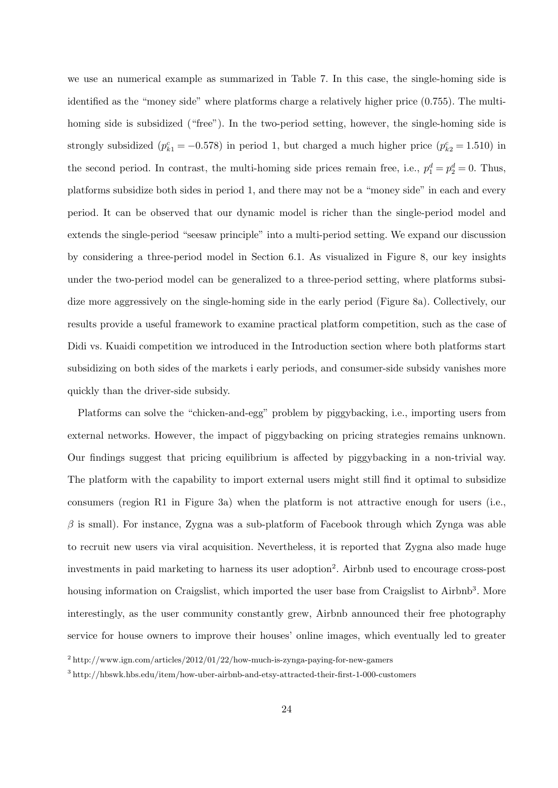we use an numerical example as summarized in Table 7. In this case, the single-homing side is identified as the "money side" where platforms charge a relatively higher price (0.755). The multihoming side is subsidized ("free"). In the two-period setting, however, the single-homing side is strongly subsidized  $(p_{k1}^c = -0.578)$  in period 1, but charged a much higher price  $(p_{k2}^c = 1.510)$  in the second period. In contrast, the multi-homing side prices remain free, i.e.,  $p_1^d = p_2^d = 0$ . Thus, platforms subsidize both sides in period 1, and there may not be a "money side" in each and every period. It can be observed that our dynamic model is richer than the single-period model and extends the single-period "seesaw principle" into a multi-period setting. We expand our discussion by considering a three-period model in Section 6.1. As visualized in Figure 8, our key insights under the two-period model can be generalized to a three-period setting, where platforms subsidize more aggressively on the single-homing side in the early period (Figure 8a). Collectively, our results provide a useful framework to examine practical platform competition, such as the case of Didi vs. Kuaidi competition we introduced in the Introduction section where both platforms start subsidizing on both sides of the markets i early periods, and consumer-side subsidy vanishes more quickly than the driver-side subsidy.

Platforms can solve the "chicken-and-egg" problem by piggybacking, i.e., importing users from external networks. However, the impact of piggybacking on pricing strategies remains unknown. Our findings suggest that pricing equilibrium is affected by piggybacking in a non-trivial way. The platform with the capability to import external users might still find it optimal to subsidize consumers (region R1 in Figure 3a) when the platform is not attractive enough for users (i.e.,  $\beta$  is small). For instance, Zygna was a sub-platform of Facebook through which Zynga was able to recruit new users via viral acquisition. Nevertheless, it is reported that Zygna also made huge investments in paid marketing to harness its user adoption<sup>2</sup>. Airbnb used to encourage cross-post housing information on Craigslist, which imported the user base from Craigslist to Airbnb<sup>3</sup>. More interestingly, as the user community constantly grew, Airbnb announced their free photography service for house owners to improve their houses' online images, which eventually led to greater

 $2 \text{ http://www.ign.com/articles/2012/01/22/how-much-is-zynga-paying-for-new-gamers}$ 

 $3$  http://hbswk.hbs.edu/item/how-uber-airbnb-and-etsy-attracted-their-first-1-000-customers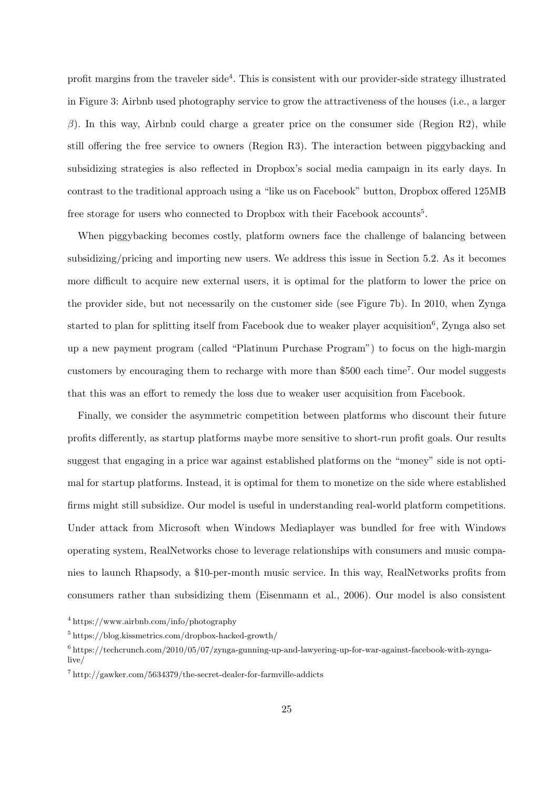profit margins from the traveler side<sup>4</sup>. This is consistent with our provider-side strategy illustrated in Figure 3: Airbnb used photography service to grow the attractiveness of the houses (i.e., a larger β). In this way, Airbnb could charge a greater price on the consumer side (Region R2), while still offering the free service to owners (Region R3). The interaction between piggybacking and subsidizing strategies is also reflected in Dropbox's social media campaign in its early days. In contrast to the traditional approach using a "like us on Facebook" button, Dropbox offered 125MB free storage for users who connected to Dropbox with their Facebook accounts<sup>5</sup>.

When piggybacking becomes costly, platform owners face the challenge of balancing between subsidizing/pricing and importing new users. We address this issue in Section 5.2. As it becomes more difficult to acquire new external users, it is optimal for the platform to lower the price on the provider side, but not necessarily on the customer side (see Figure 7b). In 2010, when Zynga started to plan for splitting itself from Facebook due to weaker player acquisition<sup>6</sup>, Zynga also set up a new payment program (called "Platinum Purchase Program") to focus on the high-margin customers by encouraging them to recharge with more than \$500 each time<sup>7</sup>. Our model suggests that this was an effort to remedy the loss due to weaker user acquisition from Facebook.

Finally, we consider the asymmetric competition between platforms who discount their future profits differently, as startup platforms maybe more sensitive to short-run profit goals. Our results suggest that engaging in a price war against established platforms on the "money" side is not optimal for startup platforms. Instead, it is optimal for them to monetize on the side where established firms might still subsidize. Our model is useful in understanding real-world platform competitions. Under attack from Microsoft when Windows Mediaplayer was bundled for free with Windows operating system, RealNetworks chose to leverage relationships with consumers and music companies to launch Rhapsody, a \$10-per-month music service. In this way, RealNetworks profits from consumers rather than subsidizing them (Eisenmann et al., 2006). Our model is also consistent

<sup>4</sup> https://www.airbnb.com/info/photography

<sup>5</sup> https://blog.kissmetrics.com/dropbox-hacked-growth/

 $6$  https://techcrunch.com/2010/05/07/zynga-gunning-up-and-lawyering-up-for-war-against-facebook-with-zyngalive/

 $^7$  http://gawker.com/5634379/the-secret-dealer-for-farmville-addicts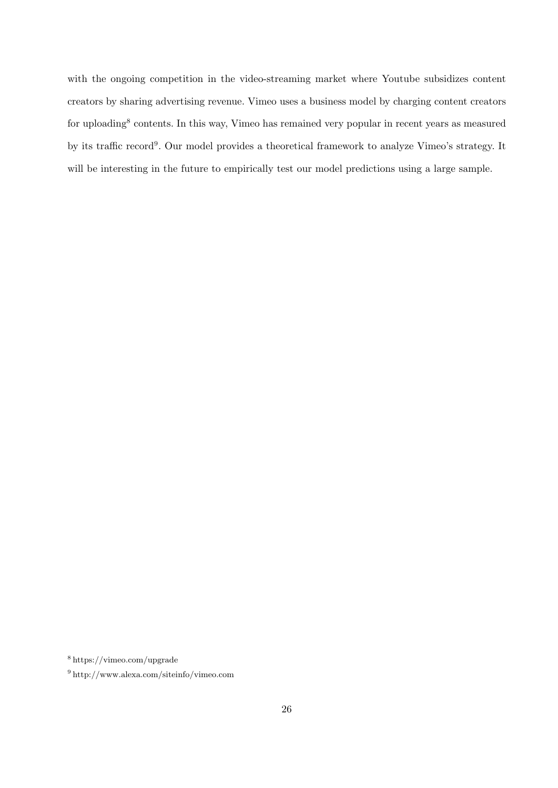with the ongoing competition in the video-streaming market where Youtube subsidizes content creators by sharing advertising revenue. Vimeo uses a business model by charging content creators for uploading<sup>8</sup> contents. In this way, Vimeo has remained very popular in recent years as measured by its traffic record<sup>9</sup>. Our model provides a theoretical framework to analyze Vimeo's strategy. It will be interesting in the future to empirically test our model predictions using a large sample.

<sup>8</sup> https://vimeo.com/upgrade

<sup>9</sup> http://www.alexa.com/siteinfo/vimeo.com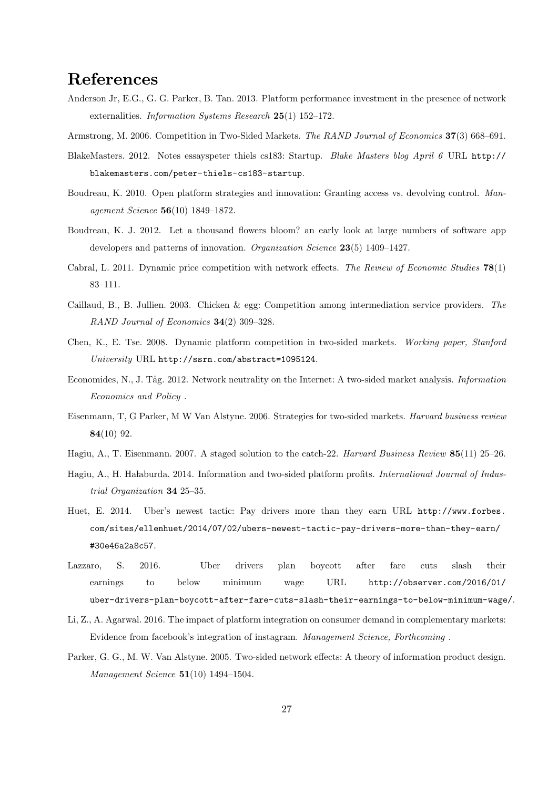## References

- Anderson Jr, E.G., G. G. Parker, B. Tan. 2013. Platform performance investment in the presence of network externalities. Information Systems Research 25(1) 152–172.
- Armstrong, M. 2006. Competition in Two-Sided Markets. The RAND Journal of Economics 37(3) 668–691.
- BlakeMasters. 2012. Notes essayspeter thiels cs183: Startup. Blake Masters blog April 6 URL http:// blakemasters.com/peter-thiels-cs183-startup.
- Boudreau, K. 2010. Open platform strategies and innovation: Granting access vs. devolving control. Management Science 56(10) 1849–1872.
- Boudreau, K. J. 2012. Let a thousand flowers bloom? an early look at large numbers of software app developers and patterns of innovation. *Organization Science* 23(5) 1409–1427.
- Cabral, L. 2011. Dynamic price competition with network effects. The Review of Economic Studies 78(1) 83–111.
- Caillaud, B., B. Jullien. 2003. Chicken & egg: Competition among intermediation service providers. The RAND Journal of Economics 34(2) 309–328.
- Chen, K., E. Tse. 2008. Dynamic platform competition in two-sided markets. Working paper, Stanford University URL http://ssrn.com/abstract=1095124.
- Economides, N., J. Tåg. 2012. Network neutrality on the Internet: A two-sided market analysis. *Information* Economics and Policy .
- Eisenmann, T, G Parker, M W Van Alstyne. 2006. Strategies for two-sided markets. Harvard business review 84(10) 92.
- Hagiu, A., T. Eisenmann. 2007. A staged solution to the catch-22. Harvard Business Review 85(11) 25–26.
- Hagiu, A., H. Halaburda. 2014. Information and two-sided platform profits. International Journal of Industrial Organization 34 25–35.
- Huet, E. 2014. Uber's newest tactic: Pay drivers more than they earn URL http://www.forbes. com/sites/ellenhuet/2014/07/02/ubers-newest-tactic-pay-drivers-more-than-they-earn/ #30e46a2a8c57.
- Lazzaro, S. 2016. Uber drivers plan boycott after fare cuts slash their earnings to below minimum wage URL http://observer.com/2016/01/ uber-drivers-plan-boycott-after-fare-cuts-slash-their-earnings-to-below-minimum-wage/.
- Li, Z., A. Agarwal. 2016. The impact of platform integration on consumer demand in complementary markets: Evidence from facebook's integration of instagram. Management Science, Forthcoming .
- Parker, G. G., M. W. Van Alstyne. 2005. Two-sided network effects: A theory of information product design. Management Science 51(10) 1494–1504.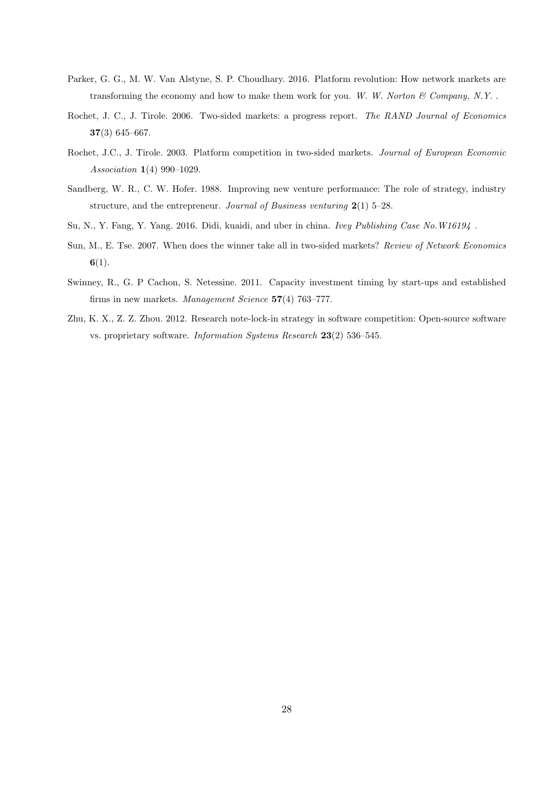- Parker, G. G., M. W. Van Alstyne, S. P. Choudhary. 2016. Platform revolution: How network markets are transforming the economy and how to make them work for you. W. W. Norton  $\mathcal C$  Company, N.Y..
- Rochet, J. C., J. Tirole. 2006. Two-sided markets: a progress report. The RAND Journal of Economics 37(3) 645–667.
- Rochet, J.C., J. Tirole. 2003. Platform competition in two-sided markets. Journal of European Economic Association 1(4) 990–1029.
- Sandberg, W. R., C. W. Hofer. 1988. Improving new venture performance: The role of strategy, industry structure, and the entrepreneur. Journal of Business venturing  $2(1)$  5–28.
- Su, N., Y. Fang, Y. Yang. 2016. Didi, kuaidi, and uber in china. Ivey Publishing Case No.W16194 .
- Sun, M., E. Tse. 2007. When does the winner take all in two-sided markets? Review of Network Economics  $6(1)$ .
- Swinney, R., G. P Cachon, S. Netessine. 2011. Capacity investment timing by start-ups and established firms in new markets. Management Science 57(4) 763–777.
- Zhu, K. X., Z. Z. Zhou. 2012. Research note-lock-in strategy in software competition: Open-source software vs. proprietary software. Information Systems Research 23(2) 536–545.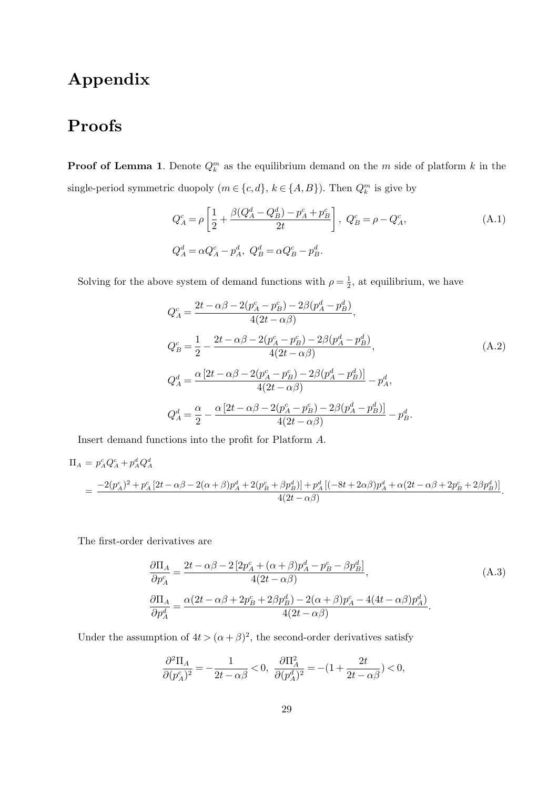# Appendix

# Proofs

**Proof of Lemma 1.** Denote  $Q_k^m$  as the equilibrium demand on the m side of platform k in the single-period symmetric duopoly  $(m \in \{c, d\}, k \in \{A, B\})$ . Then  $Q_k^m$  is give by

$$
Q_A^c = \rho \left[ \frac{1}{2} + \frac{\beta (Q_A^d - Q_B^d) - p_A^c + p_B^c}{2t} \right], \ Q_B^c = \rho - Q_A^c,
$$
\n(A.1)\n
$$
Q_A^d = \alpha Q_A^c - p_A^d, \ Q_B^d = \alpha Q_B^c - p_B^d.
$$

Solving for the above system of demand functions with  $\rho = \frac{1}{2}$  $\frac{1}{2}$ , at equilibrium, we have

$$
Q_A^c = \frac{2t - \alpha\beta - 2(p_A^c - p_B^c) - 2\beta(p_A^d - p_B^d)}{4(2t - \alpha\beta)},
$$
  
\n
$$
Q_B^c = \frac{1}{2} - \frac{2t - \alpha\beta - 2(p_A^c - p_B^c) - 2\beta(p_A^d - p_B^d)}{4(2t - \alpha\beta)},
$$
  
\n
$$
Q_A^d = \frac{\alpha[2t - \alpha\beta - 2(p_A^c - p_B^c) - 2\beta(p_A^d - p_B^d)]}{4(2t - \alpha\beta)} - p_A^d,
$$
  
\n
$$
Q_A^d = \frac{\alpha}{2} - \frac{\alpha[2t - \alpha\beta - 2(p_A^c - p_B^c) - 2\beta(p_A^d - p_B^d)]}{4(2t - \alpha\beta)} - p_B^d.
$$
\n(A.2)

Insert demand functions into the profit for Platform A.

$$
\Pi_A = p_A^c Q_A^c + p_A^d Q_A^d
$$
\n
$$
= \frac{-2(p_A^c)^2 + p_A^c [2t - \alpha \beta - 2(\alpha + \beta)p_A^d + 2(p_B^c + \beta p_B^d)] + p_A^d [(-8t + 2\alpha \beta)p_A^d + \alpha(2t - \alpha \beta + 2p_B^c + 2\beta p_B^d)]}{4(2t - \alpha \beta)}.
$$

The first-order derivatives are

$$
\frac{\partial \Pi_A}{\partial p_A^c} = \frac{2t - \alpha \beta - 2[2p_A^c + (\alpha + \beta)p_A^d - p_B^c - \beta p_B^d]}{4(2t - \alpha \beta)},
$$
\n(A.3)\n
$$
\frac{\partial \Pi_A}{\partial p_A^d} = \frac{\alpha(2t - \alpha \beta + 2p_B^c + 2\beta p_B^d) - 2(\alpha + \beta)p_A^c - 4(4t - \alpha \beta)p_A^d)}{4(2t - \alpha \beta)}.
$$
\n(A.3)

Under the assumption of  $4t > (\alpha + \beta)^2$ , the second-order derivatives satisfy

$$
\frac{\partial^2 \Pi_A}{\partial (p_A^c)^2} = -\frac{1}{2t - \alpha \beta} < 0, \ \frac{\partial \Pi_A^2}{\partial (p_A^d)^2} = -(1 + \frac{2t}{2t - \alpha \beta}) < 0,
$$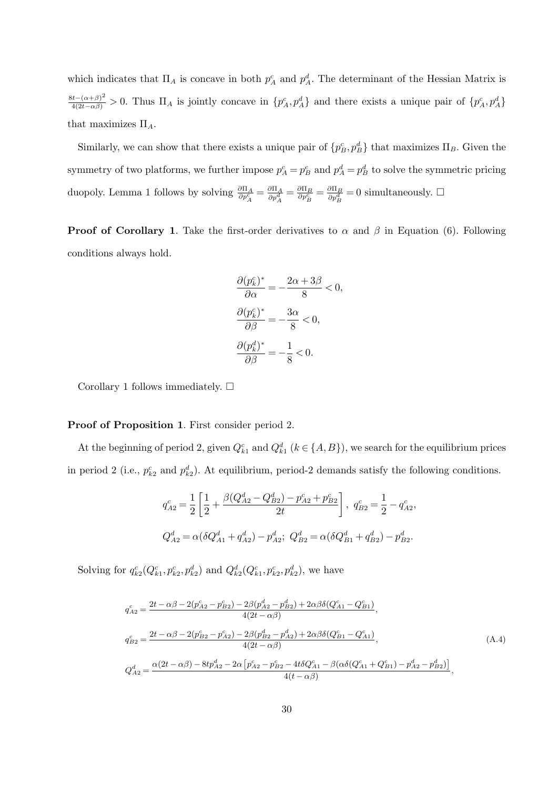which indicates that  $\Pi_A$  is concave in both  $p_A^c$  and  $p_A^d$ . The determinant of the Hessian Matrix is  $\frac{8t-(\alpha+\beta)^2}{4(2t-\alpha\beta)} > 0$ . Thus  $\Pi_A$  is jointly concave in  $\{p_A^c, p_A^d\}$  and there exists a unique pair of  $\{p_A^c, p_A^d\}$ that maximizes  $\Pi_A$ .

Similarly, we can show that there exists a unique pair of  ${p_B^c, p_B^d}$  that maximizes  $\Pi_B$ . Given the symmetry of two platforms, we further impose  $p_A^c = p_B^c$  and  $p_A^d = p_B^d$  to solve the symmetric pricing duopoly. Lemma 1 follows by solving  $\frac{\partial \Pi_A}{\partial p_A^c} = \frac{\partial \Pi_A}{\partial p_A^d} = \frac{\partial \Pi_B}{\partial p_B^c} = \frac{\partial \Pi_B}{\partial p_B^d} = 0$  simultaneously.  $\Box$ 

**Proof of Corollary 1.** Take the first-order derivatives to  $\alpha$  and  $\beta$  in Equation (6). Following conditions always hold.

$$
\frac{\partial (p_k^c)^*}{\partial \alpha} = -\frac{2\alpha + 3\beta}{8} < 0,
$$
\n
$$
\frac{\partial (p_k^c)^*}{\partial \beta} = -\frac{3\alpha}{8} < 0,
$$
\n
$$
\frac{\partial (p_k^d)^*}{\partial \beta} = -\frac{1}{8} < 0.
$$

Corollary 1 follows immediately.  $\square$ 

#### Proof of Proposition 1. First consider period 2.

At the beginning of period 2, given  $Q_{k_1}^c$  and  $Q_{k_1}^d$  ( $k \in \{A, B\}$ ), we search for the equilibrium prices in period 2 (i.e.,  $p_{k2}^c$  and  $p_{k2}^d$ ). At equilibrium, period-2 demands satisfy the following conditions.

$$
q_{A2}^{c} = \frac{1}{2} \left[ \frac{1}{2} + \frac{\beta (Q_{A2}^{d} - Q_{B2}^{d}) - p_{A2}^{c} + p_{B2}^{c}}{2t} \right], q_{B2}^{c} = \frac{1}{2} - q_{A2}^{c},
$$
  

$$
Q_{A2}^{d} = \alpha (\delta Q_{A1}^{d} + q_{A2}^{d}) - p_{A2}^{d}; Q_{B2}^{d} = \alpha (\delta Q_{B1}^{d} + q_{B2}^{d}) - p_{B2}^{d}.
$$

Solving for  $q_{k2}^c(Q_{k1}^c, p_{k2}^c, p_{k2}^d)$  and  $Q_{k2}^d(Q_{k1}^c, p_{k2}^c, p_{k2}^d)$ , we have

$$
q_{A2}^{c} = \frac{2t - \alpha\beta - 2(p_{A2}^{c} - p_{B2}^{c}) - 2\beta(p_{A2}^{d} - p_{B2}^{d}) + 2\alpha\beta\delta(Q_{A1}^{c} - Q_{B1}^{c})}{4(2t - \alpha\beta)},
$$
  
\n
$$
q_{B2}^{c} = \frac{2t - \alpha\beta - 2(p_{B2}^{c} - p_{A2}^{c}) - 2\beta(p_{B2}^{d} - p_{A2}^{d}) + 2\alpha\beta\delta(Q_{B1}^{c} - Q_{A1}^{c})}{4(2t - \alpha\beta)},
$$
  
\n
$$
Q_{A2}^{d} = \frac{\alpha(2t - \alpha\beta) - 8tp_{A2}^{d} - 2\alpha[p_{A2}^{c} - p_{B2}^{c} - 4t\delta Q_{A1}^{c} - \beta(\alpha\delta(Q_{A1}^{c} + Q_{B1}^{c}) - p_{A2}^{d} - p_{B2}^{d})]}{4(t - \alpha\beta)},
$$
\n(A.4)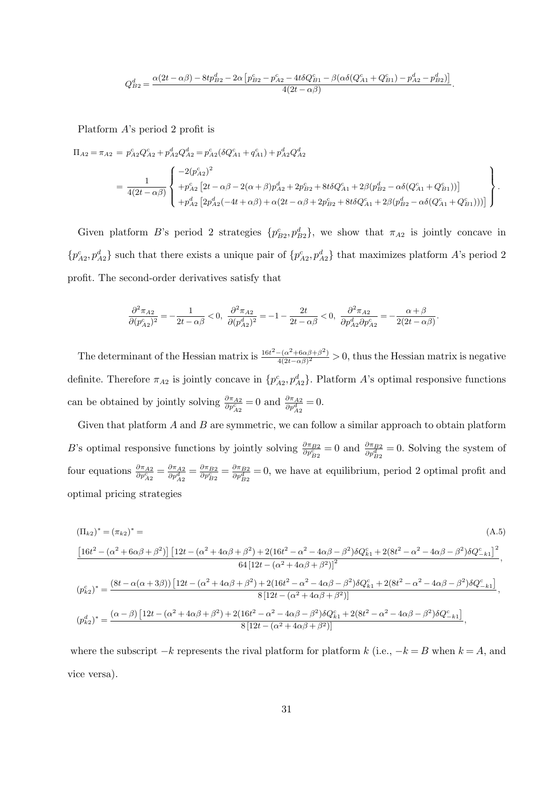$$
Q_{B2}^d = \frac{\alpha(2t - \alpha\beta) - 8tp_{B2}^d - 2\alpha \left[p_{B2}^c - p_{A2}^c - 4t\delta Q_{B1}^c - \beta(\alpha\delta(Q_{A1}^c + Q_{B1}^c) - p_{A2}^d - p_{B2}^d)\right]}{4(2t - \alpha\beta)}.
$$

Platform A's period 2 profit is

$$
\Pi_{A2} = \pi_{A2} = p_{A2}^c Q_{A2}^c + p_{A2}^d Q_{A2}^d = p_{A2}^c (\delta Q_{A1}^c + q_{A1}^c) + p_{A2}^d Q_{A2}^d
$$
\n
$$
= \frac{1}{4(2t - \alpha\beta)} \begin{cases} -2(p_{A2}^c)^2 \\ +p_{A2}^c [2t - \alpha\beta - 2(\alpha + \beta)p_{A2}^d + 2p_{B2}^c + 8t\delta Q_{A1}^c + 2\beta(p_{B2}^d - \alpha\delta(Q_{A1}^c + Q_{B1}^c))] \\ + p_{A2}^d [2p_{A2}^d (-4t + \alpha\beta) + \alpha(2t - \alpha\beta + 2p_{B2}^c + 8t\delta Q_{A1}^c + 2\beta(p_{B2}^d - \alpha\delta(Q_{A1}^c + Q_{B1}^c)))] \end{cases}.
$$

Given platform B's period 2 strategies  $\{p_{B2}^c, p_{B2}^d\}$ , we show that  $\pi_{A2}$  is jointly concave in  $\{p_{A2}^c, p_{A2}^d\}$  such that there exists a unique pair of  $\{p_{A2}^c, p_{A2}^d\}$  that maximizes platform A's period 2 profit. The second-order derivatives satisfy that

$$
\frac{\partial^2 \pi_{A2}}{\partial (p_{A2}^c)^2} = -\frac{1}{2t-\alpha \beta} < 0, \ \ \frac{\partial^2 \pi_{A2}}{\partial (p_{A2}^d)^2} = -1 - \frac{2t}{2t-\alpha \beta} < 0, \ \ \frac{\partial^2 \pi_{A2}}{\partial p_{A2}^d \partial p_{A2}^c} = -\frac{\alpha+\beta}{2(2t-\alpha \beta)}.
$$

The determinant of the Hessian matrix is  $\frac{16t^2 - (\alpha^2 + 6\alpha\beta + \beta^2)}{4(2t - \alpha\beta)^2}$  $\frac{-(\alpha^2+6\alpha\beta+\beta^2)}{4(2t-\alpha\beta)^2} > 0$ , thus the Hessian matrix is negative definite. Therefore  $\pi_{A2}$  is jointly concave in  $\{p_{A2}^c, p_{A2}^d\}$ . Platform A's optimal responsive functions can be obtained by jointly solving  $\frac{\partial \pi_{A2}}{\partial p_{A2}^c} = 0$  and  $\frac{\partial \pi_{A2}}{\partial p_{A2}^d} = 0$ .

Given that platform  $A$  and  $B$  are symmetric, we can follow a similar approach to obtain platform B's optimal responsive functions by jointly solving  $\frac{\partial \pi_{B2}}{\partial p_{B2}^c} = 0$  and  $\frac{\partial \pi_{B2}}{\partial p_{B2}^d} = 0$ . Solving the system of four equations  $\frac{\partial \pi_{A2}}{\partial p_{A2}^c} = \frac{\partial \pi_{A2}}{\partial p_{A2}^d} = \frac{\partial \pi_{B2}}{\partial p_{B2}^c} = \frac{\partial \pi_{B2}}{\partial p_{B2}^d} = 0$ , we have at equilibrium, period 2 optimal profit and optimal pricing strategies

$$
\begin{split} \left(\Pi_{k2}\right)^{*} &= \left(\pi_{k2}\right)^{*} = \end{split} \tag{A.5}
$$
\n
$$
\begin{split}\n\frac{\left[16t^{2} - \left(\alpha^{2} + 6\alpha\beta + \beta^{2}\right)\right]\left[12t - \left(\alpha^{2} + 4\alpha\beta + \beta^{2}\right) + 2(16t^{2} - \alpha^{2} - 4\alpha\beta - \beta^{2})\delta Q_{k1}^{c} + 2(8t^{2} - \alpha^{2} - 4\alpha\beta - \beta^{2})\delta Q_{-k1}^{c}\right]^{2}}{64\left[12t - \left(\alpha^{2} + 4\alpha\beta + \beta^{2}\right)\right]^{2}}\\
\left(p_{k2}^{c}\right)^{*} &= \frac{\left(8t - \alpha(\alpha + 3\beta)\right)\left[12t - \left(\alpha^{2} + 4\alpha\beta + \beta^{2}\right) + 2(16t^{2} - \alpha^{2} - 4\alpha\beta - \beta^{2})\delta Q_{k1}^{c} + 2(8t^{2} - \alpha^{2} - 4\alpha\beta - \beta^{2})\delta Q_{-k1}^{c}\right]}{8\left[12t - \left(\alpha^{2} + 4\alpha\beta + \beta^{2}\right)\right]}\\
\left(p_{k2}^{d}\right)^{*} &= \frac{\left(\alpha - \beta\right)\left[12t - \left(\alpha^{2} + 4\alpha\beta + \beta^{2}\right) + 2(16t^{2} - \alpha^{2} - 4\alpha\beta - \beta^{2})\delta Q_{k1}^{c} + 2(8t^{2} - \alpha^{2} - 4\alpha\beta - \beta^{2})\delta Q_{-k1}^{c}\right]}{8\left[12t - \left(\alpha^{2} + 4\alpha\beta + \beta^{2}\right)\right]},\n\end{split}
$$

where the subscript  $-k$  represents the rival platform for platform k (i.e.,  $-k = B$  when  $k = A$ , and vice versa).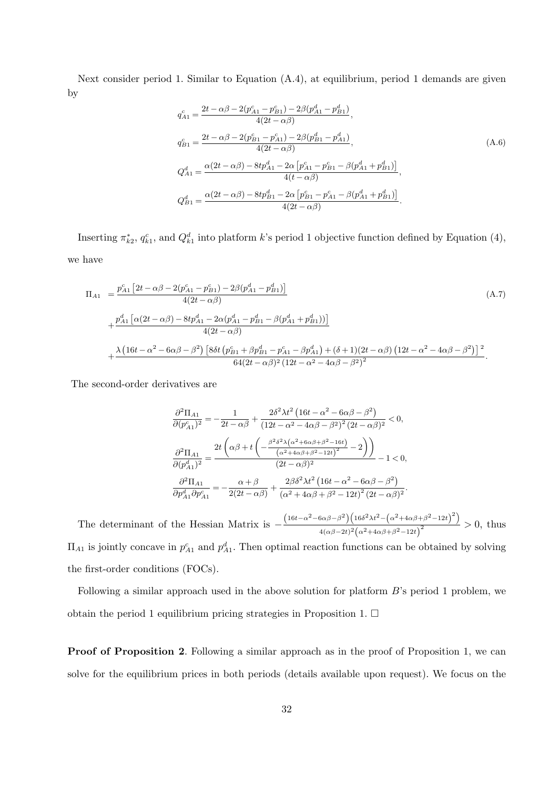Next consider period 1. Similar to Equation (A.4), at equilibrium, period 1 demands are given by

$$
q_{A1}^{c} = \frac{2t - \alpha\beta - 2(p_{A1}^{c} - p_{B1}^{c}) - 2\beta(p_{A1}^{d} - p_{B1}^{d})}{4(2t - \alpha\beta)},
$$
  
\n
$$
q_{B1}^{c} = \frac{2t - \alpha\beta - 2(p_{B1}^{c} - p_{A1}^{c}) - 2\beta(p_{B1}^{d} - p_{A1}^{d})}{4(2t - \alpha\beta)},
$$
  
\n
$$
Q_{A1}^{d} = \frac{\alpha(2t - \alpha\beta) - 8tp_{A1}^{d} - 2\alpha[p_{A1}^{c} - p_{B1}^{c} - \beta(p_{A1}^{d} + p_{B1}^{d})]}{4(t - \alpha\beta)},
$$
  
\n
$$
Q_{B1}^{d} = \frac{\alpha(2t - \alpha\beta) - 8tp_{B1}^{d} - 2\alpha[p_{B1}^{c} - p_{A1}^{c} - \beta(p_{A1}^{d} + p_{B1}^{d})]}{4(2t - \alpha\beta)}.
$$
\n(A.6)

Inserting  $\pi_{k2}^*, q_{k1}^c$ , and  $Q_{k1}^d$  into platform k's period 1 objective function defined by Equation (4), we have

$$
\Pi_{A1} = \frac{p_{A1}^{c} \left[2t - \alpha \beta - 2(p_{A1}^{c} - p_{B1}^{c}) - 2\beta(p_{A1}^{d} - p_{B1}^{d})\right]}{4(2t - \alpha \beta)}
$$
\n
$$
+ \frac{p_{A1}^{d} \left[\alpha(2t - \alpha \beta) - 8tp_{A1}^{d} - 2\alpha(p_{A1}^{d} - p_{B1}^{d} - \beta(p_{A1}^{d} + p_{B1}^{d}))\right]}{4(2t - \alpha \beta)}
$$
\n
$$
+ \frac{\lambda \left(16t - \alpha^{2} - 6\alpha\beta - \beta^{2}\right) \left[8\delta t \left(p_{B1}^{c} + \beta p_{B1}^{d} - p_{A1}^{c} - \beta p_{A1}^{d}\right) + (\delta + 1)(2t - \alpha\beta)\left(12t - \alpha^{2} - 4\alpha\beta - \beta^{2}\right)\right]^{2}}{64(2t - \alpha\beta)^{2}\left(12t - \alpha^{2} - 4\alpha\beta - \beta^{2}\right)^{2}}.
$$
\n(A.7)

The second-order derivatives are

$$
\begin{split} &\frac{\partial^2\Pi_{A1}}{\partial (p_{A1}^c)^2} = -\frac{1}{2t-\alpha\beta} + \frac{2\delta^2\lambda t^2\left(16t-\alpha^2-6\alpha\beta-\beta^2\right)}{\left(12t-\alpha^2-4\alpha\beta-\beta^2\right)^2\left(2t-\alpha\beta\right)^2} < 0,\\ &\frac{\partial^2\Pi_{A1}}{\partial (p_{A1}^d)^2} = \frac{2t\left(\alpha\beta+t\left(-\frac{\beta^2\delta^2\lambda\left(\alpha^2+6\alpha\beta+\beta^2-16t\right)}{\left(\alpha^2+4\alpha\beta+\beta^2-12t\right)^2}-2\right)\right)}{\left(2t-\alpha\beta\right)^2} - 1 < 0,\\ &\frac{\partial^2\Pi_{A1}}{\partial p_{A1}^d\partial p_{A1}^c} = -\frac{\alpha+\beta}{2(2t-\alpha\beta)} + \frac{2\beta\delta^2\lambda t^2\left(16t-\alpha^2-6\alpha\beta-\beta^2\right)}{\left(\alpha^2+4\alpha\beta+\beta^2-12t\right)^2\left(2t-\alpha\beta\right)^2}. \end{split}
$$

The determinant of the Hessian Matrix is  $-\frac{(16t-\alpha^2-6\alpha\beta-\beta^2)(16\delta^2\lambda t^2-(\alpha^2+4\alpha\beta+\beta^2-12t)^2)}{(16t^2-\alpha^2t^2-6\alpha\beta^2)(16\delta^2\lambda t^2-(\alpha^2+4\alpha\beta+\beta^2-12t)^2)}$  $\frac{4(\alpha\beta-2t)^2(\alpha^2+4\alpha\beta+\beta^2-12t)^2}{4(\alpha\beta-2t)^2(\alpha^2+4\alpha\beta+\beta^2-12t)^2}>0,$  thus  $\Pi_{A1}$  is jointly concave in  $p_{A1}^c$  and  $p_{A1}^d$ . Then optimal reaction functions can be obtained by solving the first-order conditions (FOCs).

Following a similar approach used in the above solution for platform  $B$ 's period 1 problem, we obtain the period 1 equilibrium pricing strategies in Proposition 1.  $\Box$ 

Proof of Proposition 2. Following a similar approach as in the proof of Proposition 1, we can solve for the equilibrium prices in both periods (details available upon request). We focus on the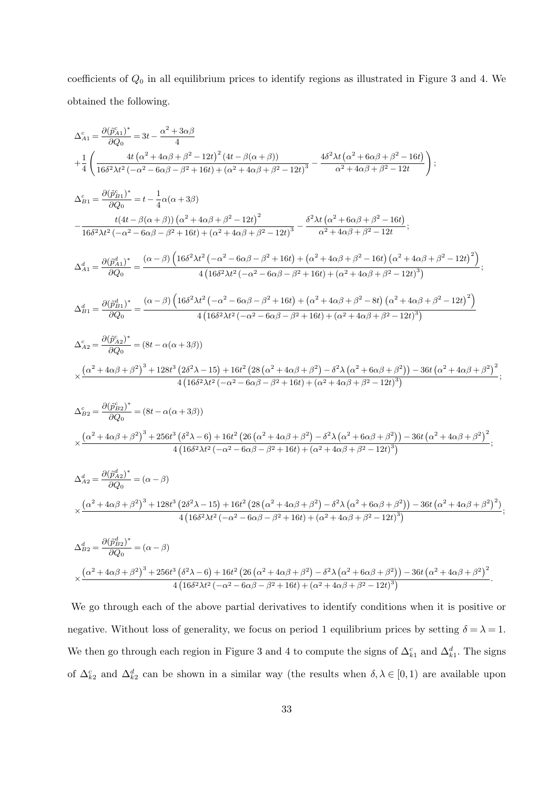coefficients of  $Q_0$  in all equilibrium prices to identify regions as illustrated in Figure 3 and 4. We obtained the following.

$$
\begin{split} \Delta_{A1}^{5}=&\frac{\partial (\vec{p}_{A1}^{5})^{*}}{\partial Q_{0}}=3t-\frac{\alpha^{2}+3\alpha\beta}{4}\\ +&\frac{4t}{4}\left(\frac{\alpha^{2}+4\alpha\beta+\beta^{2}-12t}{6\alpha^{2}+6\alpha\beta+\beta^{2}+16t\right)+\left(\alpha^{2}+4\alpha\beta+\beta^{2}-12t\right)^{3}}-\frac{4\delta^{2}\lambda t\left(\alpha^{2}+6\alpha\beta+\beta^{2}-16t\right)}{\alpha^{2}+4\alpha\beta+\beta^{2}-12t}\right);\\ \Delta_{B1}^{5}=&\frac{\partial (\vec{p}_{B1}^{5})^{*}}{\partial Q_{0}}=t-\frac{1}{4}\alpha(\alpha+3\beta)\\ &-\frac{t(4t-\beta(\alpha+\beta))\left(\alpha^{2}+4\alpha\beta+\beta^{2}-12t\right)^{2}}{16\delta^{2}\lambda t^{2}\left(-\alpha^{2}-6\alpha\beta-\beta^{2}+16t\right)+\left(\alpha^{2}+4\alpha\beta+\beta^{2}-12t\right)^{3}}-\frac{\delta^{2}\lambda t\left(\alpha^{2}+6\alpha\beta+\beta^{2}-16t\right)}{\alpha^{2}+4\alpha\beta+\beta^{2}-12t};\\ \Delta_{A1}^{4}=&\frac{\partial (\vec{p}_{A1}^{4})^{*}}{\partial Q_{0}}=\frac{(\alpha-\beta)\left(16\delta^{2}\lambda t^{2}\left(-\alpha^{2}-6\alpha\beta-\beta^{2}+16t\right)+\left(\alpha^{2}+4\alpha\beta+\beta^{2}-16t\right)\left(\alpha^{2}+4\alpha\beta+\beta^{2}-12t\right)^{2}\right)}{4\left(16\delta^{2}\lambda t^{2}\left(-\alpha^{2}-6\alpha\beta-\beta^{2}+16t\right)+\left(\alpha^{2}+4\alpha\beta+\beta^{2}-16t\right)\left(\alpha^{2}+4\alpha\beta+\beta^{2}-12t\right)^{2}\right)}\right.\\ \Delta_{A1}^{4}=&\frac{\partial (\vec{p}_{B1}^{4})^{*}}{\partial Q_{0}}=\frac{(\alpha-\beta)\left(16\delta^{2}\lambda t^{2}\left(-\alpha^{2}-6\alpha\beta-\beta^{2}+16t\right)+\left(\alpha^{2}+4\alpha\beta+\beta^{2}-16t\right)\left(\alpha^{2}+4\alpha\beta+\beta^{
$$

We go through each of the above partial derivatives to identify conditions when it is positive or negative. Without loss of generality, we focus on period 1 equilibrium prices by setting  $\delta = \lambda = 1$ . We then go through each region in Figure 3 and 4 to compute the signs of  $\Delta_{k_1}^c$  and  $\Delta_{k_1}^d$ . The signs of  $\Delta_{k_2}^c$  and  $\Delta_{k_2}^d$  can be shown in a similar way (the results when  $\delta, \lambda \in [0,1)$  are available upon

 $4(16\delta^2\lambda t^2(-\alpha^2-6\alpha\beta-\beta^2+16t)+(\alpha^2+4\alpha\beta+\beta^2-12t)^3$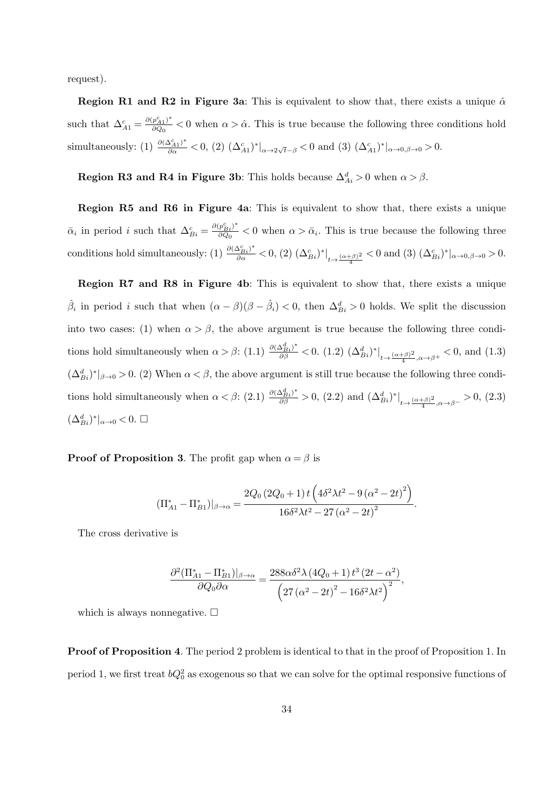request).

**Region R1 and R2 in Figure 3a:** This is equivalent to show that, there exists a unique  $\hat{\alpha}$ such that  $\Delta_{A1}^c = \frac{\partial (p_{A1}^c)^*}{\partial Q_0}$  $\frac{p_{A1}}{\partial Q_0}$  < 0 when  $\alpha > \hat{\alpha}$ . This is true because the following three conditions hold simultaneously: (1)  $\frac{\partial (\Delta_{A1}^c)^*}{\partial \alpha} < 0$ , (2)  $(\Delta_{A1}^c)^*|_{\alpha \to 2\sqrt{t}-\beta} < 0$  and (3)  $(\Delta_{A1}^c)^*|_{\alpha \to 0,\beta \to 0} > 0$ .

**Region R3 and R4 in Figure 3b**: This holds because  $\Delta_{Ai}^d > 0$  when  $\alpha > \beta$ .

Region R5 and R6 in Figure 4a: This is equivalent to show that, there exists a unique  $\bar{\alpha}_i$  in period *i* such that  $\Delta_{Bi}^c = \frac{\partial (p_{Bi}^c)^*}{\partial Q_0}$  $\frac{\partial p_{Bi}}{\partial Q_0}$  < 0 when  $\alpha > \bar{\alpha}_i$ . This is true because the following three conditions hold simultaneously: (1)  $\frac{\partial (\Delta_{Bi}^c)^*}{\partial \alpha} < 0$ , (2)  $(\Delta_{Bi}^c)^*|_{t \to \frac{(\alpha+\beta)^2}{4}} < 0$  and (3)  $(\Delta_{Bi}^c)^*|_{\alpha \to 0, \beta \to 0} > 0$ .

Region R7 and R8 in Figure 4b: This is equivalent to show that, there exists a unique  $\hat{\beta}_i$  in period *i* such that when  $(\alpha - \beta)(\beta - \hat{\beta}_i) < 0$ , then  $\Delta_{Bi}^d > 0$  holds. We split the discussion into two cases: (1) when  $\alpha > \beta$ , the above argument is true because the following three conditions hold simultaneously when  $\alpha > \beta$ : (1.1)  $\frac{\partial (\Delta_{Bi}^d)^*}{\partial \beta} < 0$ . (1.2)  $(\Delta_{Bi}^d)^*|_{t \to \frac{(\alpha+\beta)^2}{4}, \alpha \to \beta^+} < 0$ , and (1.3)  $(\Delta_{Bi}^d)^*|_{\beta \to 0} > 0$ . (2) When  $\alpha < \beta$ , the above argument is still true because the following three conditions hold simultaneously when  $\alpha < \beta$ : (2.1)  $\frac{\partial (\Delta_{Bi}^d)^*}{\partial \beta} > 0$ , (2.2) and  $(\Delta_{Bi}^d)^*|_{t \to \frac{(\alpha+\beta)^2}{4}, \alpha \to \beta^-} > 0$ , (2.3)  $(\Delta_{Bi}^d)^*|_{\alpha\to 0}$  < 0. □

**Proof of Proposition 3.** The profit gap when  $\alpha = \beta$  is

$$
(\Pi_{A1}^* - \Pi_{B1}^*)|_{\beta \to \alpha} = \frac{2Q_0 (2Q_0 + 1) t \left(4\delta^2 \lambda t^2 - 9 (\alpha^2 - 2t)^2\right)}{16\delta^2 \lambda t^2 - 27 (\alpha^2 - 2t)^2}.
$$

The cross derivative is

$$
\frac{\partial^2 \left(\Pi_{A1}^* - \Pi_{B1}^*\right)|_{\beta \to \alpha}}{\partial Q_0 \partial \alpha} = \frac{288\alpha \delta^2 \lambda \left(4Q_0 + 1\right) t^3 \left(2t - \alpha^2\right)}{\left(27\left(\alpha^2 - 2t\right)^2 - 16\delta^2 \lambda t^2\right)^2},
$$

which is always nonnegative.  $\square$ 

Proof of Proposition 4. The period 2 problem is identical to that in the proof of Proposition 1. In period 1, we first treat  $bQ_0^2$  as exogenous so that we can solve for the optimal responsive functions of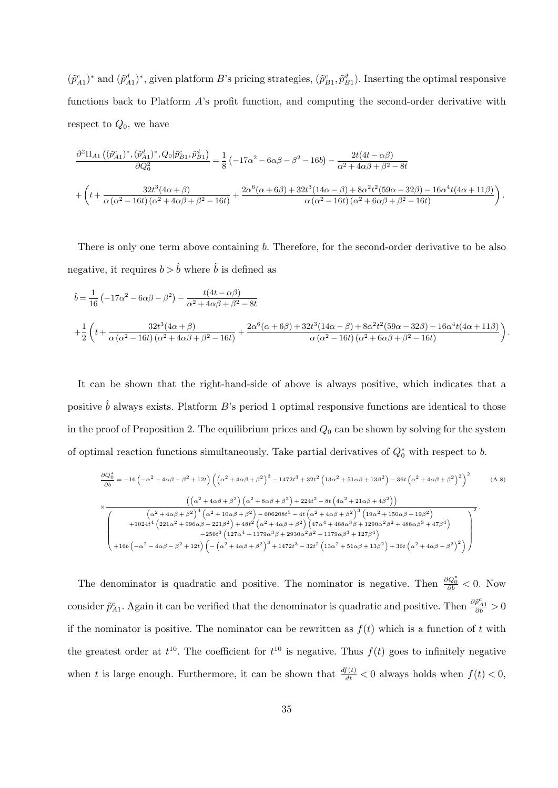$(\tilde{p}_{A1}^c)^*$  and  $(\tilde{p}_{A1}^d)^*$ , given platform B's pricing strategies,  $(\tilde{p}_{B1}^c, \tilde{p}_{B1}^d)$ . Inserting the optimal responsive functions back to Platform A's profit function, and computing the second-order derivative with respect to  $Q_0$ , we have

$$
\frac{\partial^2 \Pi_{A1} ((\tilde{p}_{A1}^{c})^*, (\tilde{p}_{A1}^{d})^*, Q_0 | \tilde{p}_{B1}^{c}, \tilde{p}_{B1}^{d})}{\partial Q_0^2} = \frac{1}{8} (-17\alpha^2 - 6\alpha\beta - \beta^2 - 16b) - \frac{2t(4t - \alpha\beta)}{\alpha^2 + 4\alpha\beta + \beta^2 - 8t}
$$
  
+ 
$$
\left(t + \frac{32t^3(4\alpha + \beta)}{\alpha(\alpha^2 - 16t)(\alpha^2 + 4\alpha\beta + \beta^2 - 16t)} + \frac{2\alpha^6(\alpha + 6\beta) + 32t^3(14\alpha - \beta) + 8\alpha^2t^2(59\alpha - 32\beta) - 16\alpha^4t(4\alpha + 11\beta)}{\alpha(\alpha^2 - 16t)(\alpha^2 + 6\alpha\beta + \beta^2 - 16t)}\right).
$$

There is only one term above containing b. Therefore, for the second-order derivative to be also negative, it requires  $b > \hat{b}$  where  $\hat{b}$  is defined as

$$
\hat{b} = \frac{1}{16} \left( -17\alpha^2 - 6\alpha\beta - \beta^2 \right) - \frac{t(4t - \alpha\beta)}{\alpha^2 + 4\alpha\beta + \beta^2 - 8t}
$$
\n
$$
+ \frac{1}{2} \left( t + \frac{32t^3(4\alpha + \beta)}{\alpha(\alpha^2 - 16t)(\alpha^2 + 4\alpha\beta + \beta^2 - 16t)} + \frac{2\alpha^6(\alpha + 6\beta) + 32t^3(14\alpha - \beta) + 8\alpha^2t^2(59\alpha - 32\beta) - 16\alpha^4t(4\alpha + 11\beta)}{\alpha(\alpha^2 - 16t)(\alpha^2 + 6\alpha\beta + \beta^2 - 16t)} \right)
$$

.

It can be shown that the right-hand-side of above is always positive, which indicates that a positive  $\hat{b}$  always exists. Platform B's period 1 optimal responsive functions are identical to those in the proof of Proposition 2. The equilibrium prices and  $Q_0$  can be shown by solving for the system of optimal reaction functions simultaneously. Take partial derivatives of  $Q_0^*$  with respect to b.

$$
\frac{\partial Q_{0}^{*}}{\partial b} = -16\left(-\alpha^{2} - 4\alpha\beta - \beta^{2} + 12t\right)\left(\left(\alpha^{2} + 4\alpha\beta + \beta^{2}\right)^{3} - 1472t^{3} + 32t^{2}\left(13\alpha^{2} + 51\alpha\beta + 13\beta^{2}\right) - 36t\left(\alpha^{2} + 4\alpha\beta + \beta^{2}\right)^{2}\right)^{2}
$$
(A.8)  

$$
\times \frac{\left(\left(\alpha^{2} + 4\alpha\beta + \beta^{2}\right)\left(\alpha^{2} + 8\alpha\beta + \beta^{2}\right) + 224t^{2} - 8t\left(4\alpha^{2} + 21\alpha\beta + 4\beta^{2}\right)\right)}{\left(\alpha^{2} + 4\alpha\beta + \beta^{2}\right)^{4}\left(\alpha^{2} + 10\alpha\beta + \beta^{2}\right) - 606208t^{5} - 4t\left(\alpha^{2} + 4\alpha\beta + \beta^{2}\right)^{3}\left(19\alpha^{2} + 150\alpha\beta + 19\beta^{2}\right)}
$$

$$
+ 1024t^{4}\left(221\alpha^{2} + 996\alpha\beta + 221\beta^{2}\right) + 48t^{2}\left(\alpha^{2} + 4\alpha\beta + \beta^{2}\right)\left(47\alpha^{4} + 488\alpha^{3}\beta + 1290\alpha^{2}\beta^{2} + 488\alpha\beta^{3} + 47\beta^{4}\right)
$$

$$
- 256t^{3}\left(127\alpha^{4} + 1179\alpha^{3}\beta + 2930\alpha^{2}\beta^{2} + 1179\alpha\beta^{3} + 127\beta^{4}\right)
$$

$$
+ 16b\left(-\alpha^{2} - 4\alpha\beta - \beta^{2} + 12t\right)\left(-\left(\alpha^{2} + 4\alpha\beta + \beta^{2}\right)^{3} + 1472t^{3} - 32t^{2}\left(13\alpha^{2} + 51\alpha\beta + 13\beta^{2}\right) + 36t\left(\alpha^{2} + 4\alpha\beta + \beta^{2}\right)^{2}\right)
$$

The denominator is quadratic and positive. The nominator is negative. Then  $\frac{\partial Q_0^*}{\partial b} < 0$ . Now consider  $\tilde{p}_{A1}^c$ . Again it can be verified that the denominator is quadratic and positive. Then  $\frac{\partial \tilde{p}_{A1}^c}{\partial b} > 0$ if the nominator is positive. The nominator can be rewritten as  $f(t)$  which is a function of t with the greatest order at  $t^{10}$ . The coefficient for  $t^{10}$  is negative. Thus  $f(t)$  goes to infinitely negative when t is large enough. Furthermore, it can be shown that  $\frac{df(t)}{dt} < 0$  always holds when  $f(t) < 0$ ,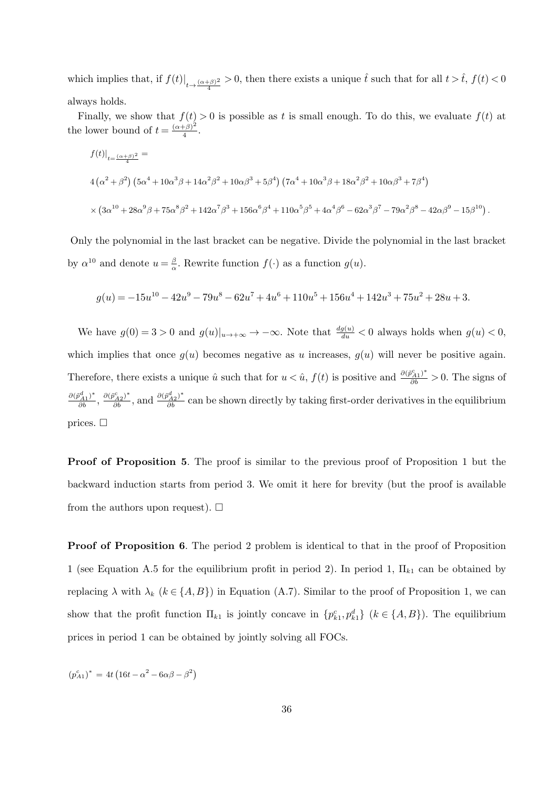which implies that, if  $f(t)|_{t\to \frac{(\alpha+\beta)^2}{4}} > 0$ , then there exists a unique  $\hat{t}$  such that for all  $t > \hat{t}$ ,  $f(t) < 0$ always holds.

Finally, we show that  $f(t) > 0$  is possible as t is small enough. To do this, we evaluate  $f(t)$  at the lower bound of  $t = \frac{(\alpha+\beta)^2}{4}$  $\frac{(\beta)^{-}}{4}$ .

$$
f(t)|_{t=\frac{(\alpha+\beta)^2}{4}} =
$$
  
\n
$$
4(\alpha^2+\beta^2)(5\alpha^4+10\alpha^3\beta+14\alpha^2\beta^2+10\alpha\beta^3+5\beta^4)(7\alpha^4+10\alpha^3\beta+18\alpha^2\beta^2+10\alpha\beta^3+7\beta^4)
$$
  
\n
$$
\times (3\alpha^{10}+28\alpha^9\beta+75\alpha^8\beta^2+142\alpha^7\beta^3+156\alpha^6\beta^4+110\alpha^5\beta^5+4\alpha^4\beta^6-62\alpha^3\beta^7-79\alpha^2\beta^8-42\alpha\beta^9-15\beta^{10}).
$$

Only the polynomial in the last bracket can be negative. Divide the polynomial in the last bracket by  $\alpha^{10}$  and denote  $u = \frac{\beta}{\alpha}$  $\frac{\beta}{\alpha}$ . Rewrite function  $f(\cdot)$  as a function  $g(u)$ .

$$
g(u)=-15u^{10}-42u^9-79u^8-62u^7+4u^6+110u^5+156u^4+142u^3+75u^2+28u+3.\\
$$

We have  $g(0) = 3 > 0$  and  $g(u)|_{u \to +\infty} \to -\infty$ . Note that  $\frac{dg(u)}{du} < 0$  always holds when  $g(u) < 0$ , which implies that once  $q(u)$  becomes negative as u increases,  $q(u)$  will never be positive again. Therefore, there exists a unique  $\hat{u}$  such that for  $u < \hat{u}$ ,  $f(t)$  is positive and  $\frac{\partial (\tilde{p}_{A1}^c)^*}{\partial b} > 0$ . The signs of  $\frac{\partial (\tilde{p}_{A1}^d)^*}{\partial b}, \frac{\partial (\tilde{p}_{A2}^c)^*}{\partial b}$ , and  $\frac{\partial (\tilde{p}_{A2}^d)^*}{\partial b}$  can be shown directly by taking first-order derivatives in the equilibrium prices.  $\Box$ 

Proof of Proposition 5. The proof is similar to the previous proof of Proposition 1 but the backward induction starts from period 3. We omit it here for brevity (but the proof is available from the authors upon request).  $\square$ 

Proof of Proposition 6. The period 2 problem is identical to that in the proof of Proposition 1 (see Equation A.5 for the equilibrium profit in period 2). In period 1,  $\Pi_{k1}$  can be obtained by replacing  $\lambda$  with  $\lambda_k$  ( $k \in \{A, B\}$ ) in Equation (A.7). Similar to the proof of Proposition 1, we can show that the profit function  $\Pi_{k1}$  is jointly concave in  $\{p_{k1}^c, p_{k1}^d\}$   $(k \in \{A, B\})$ . The equilibrium prices in period 1 can be obtained by jointly solving all FOCs.

 $(p_{A1}^c)^* = 4t(16t - \alpha^2 - 6\alpha\beta - \beta^2)$